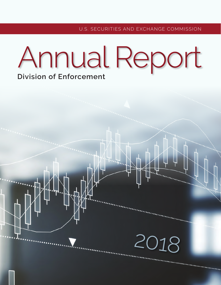2018

# Annual Report **Division of Enforcement**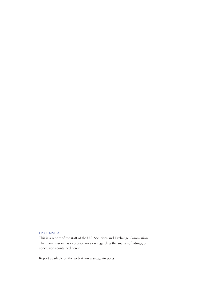### DISCLAIMER

This is a report of the staff of the U.S. Securities and Exchange Commission. The Commission has expressed no view regarding the analysis, fndings, or conclusions contained herein.

Report available on the web at<www.sec.gov/reports>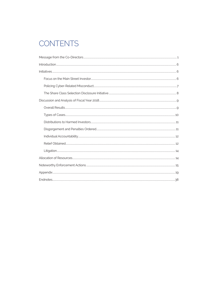# **CONTENTS**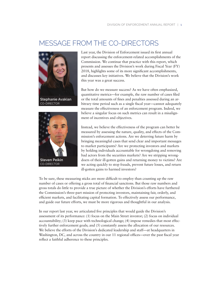# <span id="page-4-0"></span>MESSAGE FROM THE CO-DIRECTORS







CO-DIRECTOR

Last year, the Division of Enforcement issued its frst annual report discussing the enforcement-related accomplishments of the Commission. We continue that practice with this report, which presents and assesses the Division's work during Fiscal Year (FY) 2018, highlights some of its more signifcant accomplishments, and discusses key initiatives. We believe that the Division's work this year was a great success.

But how do we measure success? As we have often emphasized, quantitative metrics—for example, the raw number of cases fled or the total amounts of fnes and penalties assessed during an arbitrary time period such as a single fscal year—cannot adequately measure the effectiveness of an enforcement program. Indeed, we believe a singular focus on such metrics can result in a misalignment of incentives and objectives.

Instead, we believe the effectiveness of the program can better be measured by assessing the nature, quality, and effects of the Commission's enforcement actions. Are we deterring future harm by bringing meaningful cases that send clear and important messages to market participants? Are we protecting investors and markets by holding individuals accountable for wrongdoing and removing bad actors from the securities markets? Are we stripping wrongdoers of their ill-gotten gains and returning money to victims? Are we acting quickly to stop frauds, prevent future losses, and return ill-gotten gains to harmed investors?

To be sure, these measuring sticks are more diffcult to employ than counting up the raw number of cases or offering a gross total of fnancial sanctions. But those raw numbers and gross totals do little to provide a true picture of whether the Division's efforts have furthered the Commission's three-part mission of protecting investors, maintaining fair, orderly, and effcient markets, and facilitating capital formation. To effectively assess our performance, and guide our future efforts, we must be more rigorous and thoughtful in our analysis.

In our report last year, we articulated fve principles that would guide the Division's assessment of its performance: (1) focus on the Main Street investor; (2) focus on individual accountability; (3) keep pace with technological change; (4) impose remedies that most effectively further enforcement goals; and  $(5)$  constantly assess the allocation of our resources. We believe the efforts of the Division's dedicated leadership and staff—at headquarters in Washington, DC, and across the country in our 11 regional offices—over the past fiscal year refect a faithful adherence to these principles.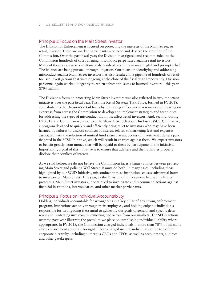### Principle 1: Focus on the Main Street Investor

The Division of Enforcement is focused on protecting the interests of the Main Street, or retail, investor. These are market participants who need and deserve the attention of the Commission. Over the past fscal year, the Division investigated and recommended to the Commission hundreds of cases alleging misconduct perpetrated against retail investors. Many of those cases were simultaneously resolved, resulting in meaningful and prompt relief. The balance are being pursued through litigation. Our focus on identifying and addressing misconduct against Main Street investors has also resulted in a pipeline of hundreds of retailfocused investigations that were ongoing at the close of the fscal year. Importantly, Division personnel again worked diligently to return substantial sums to harmed investors—this year \$794 million.

The Division's focus on protecting Main Street investors was also refected in two important initiatives over the past fscal year. First, the Retail Strategy Task Force, formed in FY 2018, contributed to the Division's retail focus by leveraging enforcement resources and drawing on expertise from across the Commission to develop and implement strategies and techniques for addressing the types of misconduct that most affect retail investors. And, second, during FY 2018, the Commission announced the Share Class Selection Disclosure (SCSD) Initiative, a program designed to quickly and effciently bring relief to investors who may have been harmed by failures to disclose conficts of interest related to marketing fees and expenses associated with the selection of mutual fund share classes. Scores of investment advisers participated in the SCSD Initiative, which will result in charges against them. We expect investors to beneft greatly from money that will be repaid to them by participants in the initiative. Importantly, a goal of this initiative is to ensure that advisers and their affliates properly disclose their conficts of interest.

As we said before, we do not believe the Commission faces a binary choice between protecting Main Street and policing Wall Street. It must do both. In many cases, including those highlighted by our SCSD Initiative, misconduct at these institutions causes substantial harm to investors on Main Street. This year, as the Division of Enforcement focused its lens on protecting Main Street investors, it continued to investigate and recommend actions against fnancial institutions, intermediaries, and other market participants.

### Principle 2: Focus on Individual Accountability

Holding individuals accountable for wrongdoing is a key pillar of any strong enforcement program. Institutions act only through their employees, and holding culpable individuals responsible for wrongdoing is essential to achieving our goals of general and specifc deterrence and protecting investors by removing bad actors from our markets. The SEC's actions over the past year illustrate the premium we place on establishing individual liability where appropriate. In FY 2018, the Commission charged individuals in more than 70% of the stand alone enforcement actions it brought. Those charged include individuals at the top of the corporate hierarchy, including numerous CEOs and CFOs, as well as accountants, auditors, and other gatekeepers.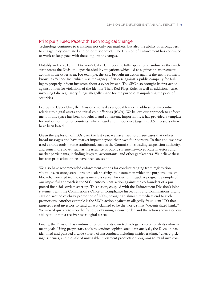### Principle 3: Keep Pace with Technological Change

Technology continues to transform not only our markets, but also the ability of wrongdoers to engage in cyber-related and other misconduct. The Division of Enforcement has continued to work to keep pace with these important changes.

Notably, in FY 2018, the Division's Cyber Unit became fully operational and—together with staff across the Division—spearheaded investigations which led to signifcant enforcement actions in the cyber area. For example, the SEC brought an action against the entity formerly known as Yahoo! Inc., which was the agency's frst case against a public company for failing to properly inform investors about a cyber breach. The SEC also brought its frst action against a frm for violations of the Identity Theft Red Flags Rule, as well as additional cases involving false regulatory flings allegedly made for the purpose manipulating the price of securities.

Led by the Cyber Unit, the Division emerged as a global leader in addressing misconduct relating to digital assets and initial coin offerings (ICOs). We believe our approach to enforcement in this space has been thoughtful and consistent. Importantly, it has provided a template for authorities in other countries, where fraud and misconduct targeting U.S. investors often have been based.

Given the explosion of ICOs over the last year, we have tried to pursue cases that deliver broad messages and have market impact beyond their own four corners. To that end, we have used various tools—some traditional, such as the Commission's trading suspension authority, and some more novel, such as the issuance of public statements—to educate investors and market participants, including lawyers, accountants, and other gatekeepers. We believe these investor-protection efforts have been successful.

We also have recommended enforcement actions for conduct ranging from registration violations, to unregistered broker-dealer activity, to instances in which the purported use of blockchain-related technology is merely a veneer for outright fraud. A poignant example of our impactful approach is the SEC's enforcement action against the co-founders of a purported fnancial services start-up. This action, coupled with the Enforcement Division's joint statement with the Commission's Office of Compliance Inspections and Examinations urging caution around celebrity promotion of ICOs, brought an almost immediate end to such promotions. Another example is the SEC's action against an allegedly fraudulent ICO that targeted retail investors to fund what it claimed to be the world's frst "decentralized bank." We moved quickly to stop the fraud by obtaining a court order, and the action showcased our ability to obtain a receiver over digital assets.

Finally, the Division has continued to leverage its own technology to accomplish its enforcement goals. Using proprietary tools to conduct sophisticated data analysis, the Division has identifed and pursued a wide variety of misconduct, including insider trading, "cherry-picking" schemes, and the sale of unsuitable investment products or programs to retail investors.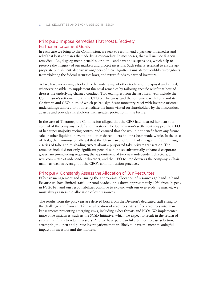## Principle 4: Impose Remedies That Most Effectively Further Enforcement Goals

In each case we bring to the Commission, we seek to recommend a package of remedies and relief that best addresses the underlying misconduct. In most cases, that will include fnancial remedies—*i.e.*, disgorgement, penalties, or both—and bars and suspensions, which help to preserve the integrity of our markets and protect investors. Such relief is essential to ensure appropriate punishment, deprive wrongdoers of their ill-gotten gains, deter would-be wrongdoers from violating the federal securities laws, and return funds to harmed investors.

Yet we have increasingly looked to the wide range of other tools at our disposal and aimed, whenever possible, to supplement fnancial remedies by tailoring specifc relief that best addresses the underlying charged conduct. Two examples from the last fscal year include the Commission's settlement with the CEO of Theranos, and the settlement with Tesla and its Chairman and CEO, both of which paired signifcant monetary relief with investor-oriented undertakings tailored to both remediate the harm visited on shareholders by the misconduct at issue and provide shareholders with greater protection in the future.

In the case of Theranos, the Commission alleged that the CEO had misused her near total control of the company to defraud investors. The Commission's settlement stripped the CEO of her super-majority voting control and ensured that she would not beneft from any future sale or other liquidation event until other shareholders had frst been made whole. In the case of Tesla, the Commission alleged that the Chairman and CEO had engaged in fraud through a series of false and misleading tweets about a purported take-private transaction. The remedies included not only signifcant penalties, but also substantially enhanced corporate governance—including requiring the appointment of two new independent directors, a new committee of independent directors, and the CEO to step down as the company's Chairman—as well as oversight of the CEO's communication practices.

### Principle 5: Constantly Assess the Allocation of Our Resources

Effective management and ensuring the appropriate allocation of resources go hand-in-hand. Because we have limited staff (our total headcount is down approximately 10% from its peak in FY 2016), and our responsibilities continue to expand with our ever-evolving market, we must always assess the allocation of our resources.

The results from the past year are derived both from the Division's dedicated staff rising to the challenge and from an effective allocation of resources. We shifted resources into market segments presenting emerging risks, including cyber threats and ICOs. We implemented innovative initiatives, such as the SCSD Initiative, which we expect to result in the return of substantial funds to retail investors. And we have paid careful attention to case selection, attempting to open and pursue investigations that are likely to have the most meaningful impact for investors and the markets.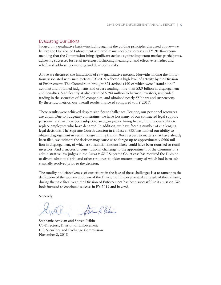### Evaluating Our Efforts

Judged on a qualitative basis—including against the guiding principles discussed above—we believe the Division of Enforcement achieved many notable successes in FY 2018—recommending that the Commission bring signifcant actions against important market participants, achieving successes for retail investors, fashioning meaningful and effective remedies and relief, and addressing emerging and developing risks.

Above we discussed the limitations of raw quantitative metrics. Notwithstanding the limitations associated with such metrics, FY 2018 refected a high level of activity by the Division of Enforcement. The Commission brought 821 actions (490 of which were "stand alone" actions) and obtained judgments and orders totaling more than \$3.9 billion in disgorgement and penalties. Signifcantly, it also returned \$794 million to harmed investors, suspended trading in the securities of 280 companies, and obtained nearly 550 bars and suspensions. By these raw metrics, our overall results improved compared to FY 2017.

These results were achieved despite signifcant challenges. For one, our personnel resources are down. Due to budgetary constraints, we have lost many of our contracted legal support personnel and we have been subject to an agency-wide hiring freeze, limiting our ability to replace employees who have departed. In addition, we have faced a number of challenging legal decisions. The Supreme Court's decision in *Kokesh v. SEC* has limited our ability to obtain disgorgement in certain long-running frauds. With respect to matters that have already been fled, we estimate the decision may cause us to forego up to approximately \$900 million in disgorgement, of which a substantial amount likely could have been returned to retail investors. And a successful constitutional challenge to the appointment of the Commission's administrative law judges in the *Lucia v. SEC* Supreme Court case has required the Division to divert substantial trial and other resources to older matters, many of which had been substantially resolved prior to the decision.

The totality and effectiveness of our efforts in the face of these challenges is a testament to the dedication of the women and men of the Division of Enforcement. As a result of their efforts, during the past fscal year, the Division of Enforcement has been successful in its mission. We look forward to continued success in FY 2019 and beyond.

Sincerely,

Steve Rlehi

Stephanie Avakian and Steven Peikin Co-Directors, Division of Enforcement U.S. Securities and Exchange Commission November 2, 2018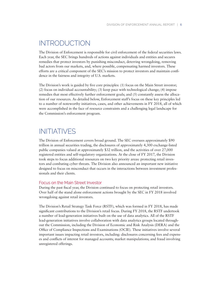# <span id="page-9-0"></span>INTRODUCTION

The Division of Enforcement is responsible for civil enforcement of the federal securities laws. Each year, the SEC brings hundreds of actions against individuals and entities and secures remedies that protect investors by punishing misconduct, deterring wrongdoing, removing bad actors from our markets, and, where possible, compensating harmed investors. These efforts are a critical component of the SEC's mission to protect investors and maintain confdence in the fairness and integrity of U.S. markets.

The Division's work is guided by fve core principles: (1) focus on the Main Street investor; (2) focus on individual accountability; (3) keep pace with technological change; (4) impose remedies that most effectively further enforcement goals; and (5) constantly assess the allocation of our resources. As detailed below, Enforcement staff's focus on these key principles led to a number of noteworthy initiatives, cases, and other achievements in FY 2018, all of which were accomplished in the face of resource constraints and a challenging legal landscape for the Commission's enforcement program.

# INITIATIVES

The Division of Enforcement covers broad ground. The SEC oversees approximately \$90 trillion in annual securities trading, the disclosures of approximately 4,300 exchange-listed public companies valued at approximately \$32 trillion, and the activities of over 27,000 registered entities and self-regulatory organizations. At the close of FY 2017, the Division took steps to focus additional resources on two key priority areas: protecting retail investors and combating cyber threats. The Division also announced an important new initiative designed to focus on misconduct that occurs in the interactions between investment professionals and their clients.

### Focus on the Main Street Investor

During the past fscal year, the Division continued to focus on protecting retail investors. Over half of the stand alone enforcement actions brought by the SEC in FY 2018 involved wrongdoing against retail investors.

The Division's Retail Strategy Task Force (RSTF), which was formed in FY 2018, has made signifcant contributions to the Division's retail focus. During FY 2018, the RSTF undertook a number of lead-generation initiatives built on the use of data analytics. All of the RSTF lead-generation initiatives involve collaboration with data analytics groups located throughout the Commission, including the Division of Economic and Risk Analysis (DERA) and the Offce of Compliance Inspections and Examinations (OCIE). These initiatives involve several important issues impacting retail investors, including: disclosures concerning fees and expenses and conficts of interest for managed accounts; market manipulations; and fraud involving unregistered offerings.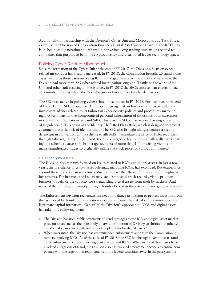<span id="page-10-0"></span>Additionally, in partnership with the Division's Cyber Unit and Microcap Fraud Task Force, as well as the Division of Corporation Finance's Digital Asset Working Group, the RSTF has launched a lead-generation and referral initiative involving trading suspensions related to companies that purport to be in the cryptocurrency and distributed ledger technology space.

### Policing Cyber-Related Misconduct

Since the formation of the Cyber Unit at the end of FY 2017, the Division's focus on cyberrelated misconduct has steadily increased. In FY 2018, the Commission brought 20 stand alone cases, including those cases involving ICOs and digital assets. At the end of the fscal year, the Division had more than 225 cyber-related investigations ongoing. Thanks to the work of the Unit and other staff focusing on these issues, in FY 2018 the SEC's enforcement efforts impacted a number of areas where the federal securities laws intersect with cyber issues.

The SEC was active in policing cyber-related misconduct in FY 2018. For instance, at the end of FY 2018, the SEC brought settled proceedings against an Iowa-based broker-dealer and investment adviser related to its failures in cybersecurity policies and procedures surrounding a cyber intrusion that compromised personal information of thousands of its customers, in violation of Regulations S-P and S-ID. This was the SEC's frst action charging violations of Regulation S-ID, known as the Identity Theft Red Flags Rule, which is designed to protect customers from the risk of identity theft.1 The SEC also brought charges against a second defendant in connection with a scheme to allegedly manipulate the price of Fitbit securities through false regulatory flings.2 And, the SEC charged a day trader with allegedly participating in a scheme to access the brokerage accounts of more than 100 unwitting victims and make unauthorized trades to artificially inflate the stock prices of various companies.<sup>3</sup>

### ICOs and Digital Assets

The Division also remains focused on issues related to ICOs and digital assets. In just a few years, the prevalence of crypto-asset offerings, including ICOs, has exploded. But exuberance around these markets can sometimes obscure the fact that these offerings are often high-risk investments. For instance, the issuers may lack established track records, viable products, business models, or the capacity for safeguarding digital assets from theft by hackers. And some of the offerings are simply outright frauds cloaked in the veneer of emerging technology.

The Enforcement Division recognizes the need to balance its mission to protect investors from the risk posed by fraud and registration violations against the risk of stifing innovation and legitimate capital formation.<sup>4</sup> Generally, the Division's approach to ICOs and digital assets has taken the following forms:

- The Division has used public statements to send messages to the ICO and digital asset marketplace on issues such as the potentially unlawful promotion of ICOs by celebrities and others,<sup>5</sup> and the risks associated with online trading platforms for digital assets.<sup>6</sup>
- When warranted, the Division has recommended enforcement actions to the Commission in matters involving ICOs. As of the close of FY 2018, the SEC had brought over a dozen stand alone enforcement actions involving digital assets and ICOs.7 While many of these cases have involved allegations of fraud, the Division also has pursued enforcement actions to ensure compliance with the registration requirements of the federal securities laws.8 In the past year, the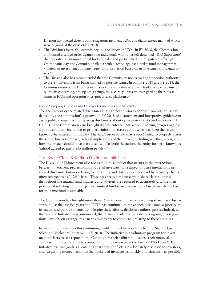<span id="page-11-0"></span>Division has opened dozens of investigations involving ICOs and digital assets, many of which were ongoing at the close of FY 2018.

- The Division's focus also extends beyond the issuers of ICOs. In FY 2018, the Commission announced a settled order against two individuals who ran a self-described "ICO Superstore" that operated as an unregistered broker-dealer and participated in unregistered offerings.<sup>9</sup> On the same day, the Commission fled a settled action against a hedge fund manager that violated an investment company registration provision based on its investments in digital assets.<sup>10</sup>
- The Division also has recommended that the Commission use its trading suspension authority to prevent investors from being harmed by possible scams. In both FY 2017 and FY 2018, the Commission suspended trading in the stock of over a dozen publicly traded issuers because of questions concerning, among other things, the accuracy of assertions regarding their investments in ICOs and operation of cryptocurrency platforms.<sup>11</sup>

### Public Company Disclosures of Cybersecurity Risks and Incidents

The accuracy of cyber-related disclosures is a signifcant priority for the Commission, as evidenced by the Commission's approval in FY 2018 of a statement and interpretive guidance to assist public companies in preparing disclosures about cybersecurity risks and [incidents.12](https://incidents.12) In FY 2018, the Commission also brought its frst enforcement action involving charges against a public company for failing to properly inform investors about what was then the largest known cyber-intrusion in history. The SEC's order found that Yahoo! failed to properly assess the scope, business impact, or legal implications of the breach, including whether, when, and how the breach should have been disclosed. To settle the action, the entity formerly known as Yahoo! agreed to pay a \$35 million penalty.<sup>13</sup>

### The Share Class Selection Disclosure Initiative

The Division of Enforcement also focused on misconduct that occurs in the interactions between investment professionals and retail investors. One aspect of these interactions involved disclosure failures relating to marketing and distribution fees paid by advisory clients, often referred to as "12b-1 fees." These fees are typical for certain share classes offered throughout the mutual fund industry, and advisers are required to accurately disclose their practice of selecting a more expensive mutual fund share class when a lower-cost share class for the same fund is available.

The Commission has brought more than 15 enforcement matters involving share class disclosures in just the last fve years and OCIE has continued to make such disclosures a priority in its exams and public [statements.14](https://statements.14) Despite these efforts, disclosure failures persist. Indeed, at the time the Initiative was announced, the Division had close to a dozen ongoing investigations—which, on average, take nearly two years to complete—relating to these practices.

In an attempt to address this continuing problem, the Division launched the Share Class Selection Disclosure Initiative in FY 2018. The Initiative is a voluntary program for investment advisers to self-report to the Commission their failures to disclose their fnancial conflicts of interest relating to compensation they received in the form of 12b-1 fees.<sup>15</sup> The Initiative has two goals: (1) ensuring that these conficts are adequately disclosed to investors; and (2) getting money back into the pockets of investors as quickly and effciently as possible.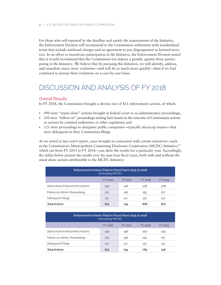<span id="page-12-0"></span>For those who self-reported by the deadline and satisfy the requirements of the Initiative, the Enforcement Division will recommend to the Commission settlements with standardized terms that include antifraud charges and an agreement to pay disgorgement to harmed investors. In an effort to incentivize participation in the Initiative, the Enforcement Division stated that it would recommend that the Commission not impose a penalty against those participating in the Initiative. We believe that by pursuing this Initiative, we will identify, address, and remediate many more violations—and will do so much more quickly—than if we had continued to pursue these violations on a case-by-case basis.

# DISCUSSION AND ANALYSIS OF FY 2018

### Overall Results

In FY 2018, the Commission brought a diverse mix of 821 enforcement actions, of which:

- 490 were "stand alone" actions brought in federal court or as administrative proceedings;
- 210 were "follow-on" proceedings seeking bars based on the outcome of Commission actions or actions by criminal authorities or other regulators; and
- 121 were proceedings to deregister public companies—typically microcap issuers—that were delinquent in their Commission flings.

As we noted in last year's report, cases brought in connection with certain initiatives—such as the Commission's Municipalities Continuing Disclosure Cooperation (MCDC) Initiative,16 which ran from FY 2015 to FY 2016—can skew the results for a particular year. Accordingly, the tables below present the results over the past four fscal years, both with and without the stand alone actions attributable to the MCDC Initiative:

| Enforcement Actions Filed in Fiscal Years 2015 to 2018<br>(including MCDC) |     |     |     |     |  |  |
|----------------------------------------------------------------------------|-----|-----|-----|-----|--|--|
| FY 2016<br>FY 2018<br>FY 2017<br>FY 2015                                   |     |     |     |     |  |  |
| Stand Alone Enforcement Actions                                            | 490 | 446 | 548 | 508 |  |  |
| Follow-on Admin. Proceedings                                               | 210 | 196 | 195 | 167 |  |  |
| Delinquent Filings                                                         | 121 | 112 | 125 | 132 |  |  |
| <b>Total Actions</b>                                                       | 821 | 754 | 868 | 807 |  |  |

| Enforcement Actions Filed in Fiscal Years 2015 to 2018<br>(excluding MCDC) |     |     |     |     |  |  |
|----------------------------------------------------------------------------|-----|-----|-----|-----|--|--|
| FY 2018<br>FY 2016<br>FY 2017<br>FY 2015                                   |     |     |     |     |  |  |
| Stand Alone Enforcement Actions                                            | 490 | 446 | 464 | 449 |  |  |
| Follow-on Admin. Proceedings                                               | 210 | 196 | 195 | 167 |  |  |
| Delinguent Filings                                                         | 121 | 112 | 125 | 132 |  |  |
| <b>Total Actions</b>                                                       | 821 | 754 | 784 | 748 |  |  |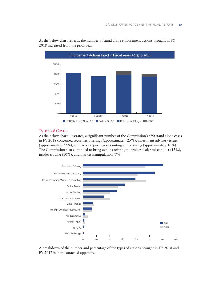

<span id="page-13-0"></span>As the below chart refects, the number of stand alone enforcement actions brought in FY 2018 increased from the prior year.

### Types of Cases

As the below chart illustrates, a signifcant number of the Commission's 490 stand alone cases in FY 2018 concerned securities offerings (approximately 25%), investment advisory issues (approximately 22%), and issuer reporting/accounting and auditing (approximately 16%). The Commission also continued to bring actions relating to broker-dealer misconduct (13%), insider trading (10%), and market manipulation (7%).



A breakdown of the number and percentage of the types of actions brought in FY 2018 and FY 2017 is in the attached appendix.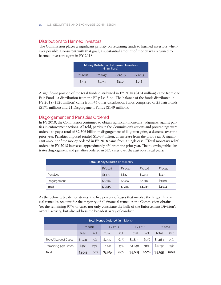### Distributions to Harmed Investors

The Commission places a signifcant priority on returning funds to harmed investors whenever possible. Consistent with that goal, a substantial amount of money was returned to harmed investors again in FY 2018.

| <b>Money Distributed to Harmed Investors</b><br>(in millions) |         |                    |        |  |
|---------------------------------------------------------------|---------|--------------------|--------|--|
| FY 2018                                                       | FY 2017 | FY <sub>2016</sub> | FY2015 |  |
| \$794                                                         | \$1,073 | \$140              | \$158  |  |

A signifcant portion of the total funds distributed in FY 2018 (\$474 million) came from one Fair Fund—a distribution from the BP p.l.c. fund. The balance of the funds distributed in FY 2018 (\$320 million) came from 46 other distribution funds comprised of 25 Fair Funds (\$171 million) and 21 Disgorgement Funds (\$149 million).

### Disgorgement and Penalties Ordered

In FY 2018, the Commission continued to obtain signifcant monetary judgments against parties in enforcement actions. All told, parties in the Commission's actions and proceedings were ordered to pay a total of \$2.506 billion in disgorgement of ill-gotten gains, a decrease over the prior year. Penalties imposed totaled \$1.439 billion, an increase from the prior year. A signifcant amount of the money ordered in FY 2018 came from a single case.<sup>17</sup> Total monetary relief ordered in FY 2018 increased approximately 4% from the prior year. The following table illustrates disgorgement and penalties ordered in SEC cases over the past four fscal years:

| Total Money Ordered (in millions)      |         |         |         |         |  |  |
|----------------------------------------|---------|---------|---------|---------|--|--|
| FY 2018<br>FY 2017<br>FY2016<br>FY2015 |         |         |         |         |  |  |
| Penalties                              | \$1,439 | \$832   | \$1,273 | \$1,175 |  |  |
| Disgorgement                           | \$2,506 | \$2,957 | \$2,809 | \$3,019 |  |  |
| Total                                  | \$3,945 | \$3,789 | \$4,083 | \$4,194 |  |  |

As the below table demonstrates, the fve percent of cases that involve the largest fnancial remedies account for the majority of all fnancial remedies the Commission obtains. Yet the remaining 95% of cases not only constitute the bulk of the Enforcement Division's overall activity, but also address the broadest array of conduct.

| <b>Total Money Ordered (in millions)</b> |         |                                      |         |      |         |         |         |      |
|------------------------------------------|---------|--------------------------------------|---------|------|---------|---------|---------|------|
|                                          |         | <b>FY 2018</b><br>FY 2017<br>FY 2016 |         |      |         | FY 2015 |         |      |
|                                          | Total   | Pct                                  | Total   | Pct  | Total   | Pct     | Total   | Pct  |
| Top 5% Largest Cases                     | \$3,041 | 77%                                  | \$2,537 | 67%  | \$2,835 | 69%     | \$3,163 | 75%  |
| Remaining 95% Cases                      | \$904   | 23%                                  | \$1,252 | 33%  | \$1,248 | 31%     | \$1,032 | 25%  |
| Total                                    | \$3,945 | 100%                                 | \$3,789 | 100% | \$4,083 | 100%    | \$4,195 | 100% |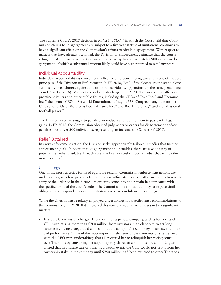<span id="page-15-0"></span>The Supreme Court's 2017 decision in *Kokesh v. SEC,*18 in which the Court held that Commission claims for disgorgement are subject to a fve-year statute of limitations, continues to have a signifcant effect on the Commission's efforts to obtain disgorgement. With respect to matters that have already been fled, the Division of Enforcement estimates that the court's ruling in *Kokesh* may cause the Commission to forgo up to approximately \$900 million in disgorgement, of which a substantial amount likely could have been returned to retail investors.

### Individual Accountability

Individual accountability is critical to an effective enforcement program and is one of the core principles of the Division of Enforcement. In FY 2018, 72% of the Commission's stand alone actions involved charges against one or more individuals, approximately the same percentage as in FY 2017 (73%). Many of the individuals charged in FY 2018 include senior offcers at prominent issuers and other public figures, including the CEOs of Tesla Inc.<sup>19</sup> and Theranos Inc,<sup>20</sup> the former CEO of Seaworld Entertainment Inc.,<sup>21</sup> a U.S. Congressman,<sup>22</sup> the former CEOs and CFOs of Walgreens Boots Alliance Inc.23 and Rio Tinto p.l.c.,24 and a professional football player.<sup>25</sup>

The Division also has sought to penalize individuals and require them to pay back illegal gains. In FY 2018, the Commission obtained judgments or orders for disgorgement and/or penalties from over 500 individuals, representing an increase of 9% over FY 2017.

### Relief Obtained

In every enforcement action, the Division seeks appropriately tailored remedies that further enforcement goals. In addition to disgorgement and penalties, there are a wide array of potential remedies available. In each case, the Division seeks those remedies that will be the most meaningful.

### **Undertakings**

One of the most effective forms of equitable relief in Commission enforcement actions are undertakings, which require a defendant to take affrmative steps—either in conjunction with entry of the order or in the future—in order to come into and remain in compliance with the specifc terms of the court's order. The Commission also has authority to impose similar obligations on respondents in administrative and cease-and-desist proceedings.

While the Division has regularly employed undertakings in its settlement recommendations to the Commission, in FY 2018 it employed this remedial tool in novel ways in two signifcant matters.

• First, the Commission charged Theranos, Inc., a private company, and its founder and CEO with raising more than \$700 million from investors in an elaborate, years-long scheme involving exaggerated claims about the company's technology, business, and fnancial [performance.26](https://performance.26) One of the most important elements of the Commission's settlement with the CEO were undertakings that (1) required her to relinquish her voting control over Theranos by converting her supermajority shares to common shares, and (2) guaranteed that in a future sale or other liquidation event, the CEO would not proft from her ownership stake in the company until \$750 million had been returned to other Theranos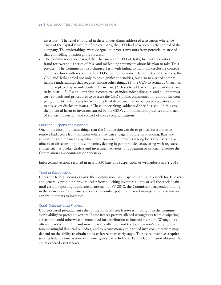[investors.27](https://investors.27) The relief embodied in these undertakings addressed a situation where, because of the capital structure of the company, the CEO had nearly complete control of the company. The undertakings were designed to protect investors from potential misuse of that controlling position going forward.

• The Commission also charged the Chairman and CEO of Tesla, Inc. with securities fraud for tweeting a series of false and misleading statements about his plan to take Tesla [private.28](https://private.28) The Commission also charged Tesla with failing to maintain disclosure controls and procedures with respect to the CEO's communications.<sup>29</sup> To settle the SEC actions, the CEO and Tesla agreed not only to pay signifcant penalties, but also to a set of comprehensive undertakings that require, among other things, (1) the CEO to resign as Chairman and be replaced by an independent Chairman, (2) Tesla to add two independent directors to its board, (3) Tesla to establish a committee of independent directors and adopt mandatory controls and procedures to oversee the CEO's public communications about the company, and (4) Tesla to employ within its legal department an experienced securities counsel to advise on disclosure issues. 30 These undertakings addressed specifc risks—in this case, the potential harm to investors caused by the CEO's communication practices and a lack of suffcient oversight and control of those communications.

### Bars and Suspensions Imposed

One of the most important things that the Commission can do to protect investors is to remove bad actors from positions where they can engage in future wrongdoing. Bars and suspensions are the means by which the Commission prevents wrongdoers from serving as offcers or directors of public companies, dealing in penny stocks, associating with registered entities such as broker-dealers and investment advisers, or appearing or practicing before the Commission as accountants or attorneys.

Enforcement actions resulted in nearly 550 bars and suspensions of wrongdoers in FY 2018.

### Trading Suspensions

Under the federal securities laws, the Commission may suspend trading in a stock for 10 days and generally prohibit a broker-dealer from soliciting investors to buy or sell the stock again until certain reporting requirements are met. In FY 2018, the Commission suspended trading in the securities of 280 issuers in order to combat potential market manipulation and microcap fraud threats to investors.

### Court-Ordered Asset Freezes

Court-ordered prejudgment relief in the form of asset freezes is important to the Commission's ability to protect investors. These freezes prevent alleged wrongdoers from dissipating assets that could otherwise be marshaled for distribution to harmed investors. Wrongdoers often are adept at hiding and moving assets offshore, and the Commission's ability to obtain meaningful fnancial remedies, and to return money to harmed investors, therefore may depend on the ability to obtain an asset freeze at an early stage. These circumstances require seeking federal court action on an emergency basis. In FY 2018, the Commission obtained 26 court-ordered asset freezes.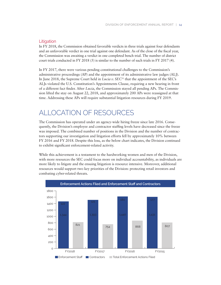### <span id="page-17-0"></span>Litigation

In FY 2018, the Commission obtained favorable verdicts in three trials against four defendants and an unfavorable verdict in one trial against one defendant. As of the close of the fscal year, the Commission was awaiting a verdict in one completed bench trial. The number of district court trials conducted in FY 2018 (5) is similar to the number of such trials in FY 2017 (4).

In FY 2017, there were various pending constitutional challenges to the Commission's administrative proceedings (AP) and the appointment of its administrative law judges (ALJ). In June 2018, the Supreme Court held in *Lucia v. SEC*31 that the appointment of the SEC's ALJs violated the U.S. Constitution's Appointments Clause, requiring a new hearing in front of a different fact fnder. After *Lucia*, the Commission stayed all pending APs. The Commission lifted the stay on August 22, 2018, and approximately 200 APs were reassigned at that time. Addressing these APs will require substantial litigation resources during FY 2019.

# ALLOCATION OF RESOURCES

The Commission has operated under an agency-wide hiring freeze since late 2016. Consequently, the Division's employee and contractor staffng levels have decreased since the freeze was imposed. The combined number of positions in the Division and the number of contractors supporting our investigation and litigation efforts fell by approximately 10% between FY 2016 and FY 2018. Despite this loss, as the below chart indicates, the Division continued to exhibit signifcant enforcement-related activity.

While this achievement is a testament to the hardworking women and men of the Division, with more resources the SEC could focus more on individual accountability, as individuals are more likely to litigate and the ensuing litigation is resource intensive. Moreover, additional resources would support two key priorities of the Division: protecting retail investors and combating cyber-related threats.

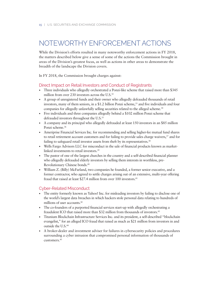# <span id="page-18-0"></span>NOTEWORTHY ENFORCEMENT ACTIONS

While the Division's efforts resulted in many noteworthy enforcement actions in FY 2018, the matters described below give a sense of some of the actions the Commission brought in areas of the Division's greatest focus, as well as actions in other areas to demonstrate the breadth of the landscape the Division covers.

In FY 2018, the Commission brought charges against:

## Direct Impact on Retail Investors and Conduct of Registrants

- Three individuals who allegedly orchestrated a Ponzi-like scheme that raised more than \$345 million from over 230 investors across the U.S.<sup>32</sup>
- A group of unregistered funds and their owner who allegedly defrauded thousands of retail investors, many of them seniors, in a \$1.2 billion Ponzi scheme, $33$  and five individuals and four companies for allegedly unlawfully selling securities related to the alleged scheme.<sup>34</sup>
- Five individuals and three companies allegedly behind a \$102 million Ponzi scheme that defrauded investors throughout the U.S.<sup>35</sup>
- A company and its principal who allegedly defrauded at least 150 investors in an \$85 million Ponzi scheme.<sup>36</sup>
- Ameriprise Financial Services Inc. for recommending and selling higher-fee mutual fund shares to retail retirement account customers and for failing to provide sales charge waivers,<sup>37</sup> and for failing to safeguard retail investor assets from theft by its representatives.<sup>38</sup>
- Wells Fargo Advisors LLC for misconduct in the sale of fnancial products known as marketlinked investments to retail [investors.39](https://investors.39)
- The pastor of one of the largest churches in the country and a self-described fnancial planner who allegedly defrauded elderly investors by selling them interests in worthless, pre-Revolutionary Chinese [bonds.40](https://bonds.40)
- William Z. (Billy) McFarland, two companies he founded, a former senior executive, and a former contractor, who agreed to settle charges arising out of an extensive, multi-year offering fraud that raised at least \$27.4 million from over 100 investors.<sup>41</sup>

### Cyber-Related Misconduct

- The entity formerly known as Yahoo! Inc. for misleading investors by failing to disclose one of the world's largest data breaches in which hackers stole personal data relating to hundreds of millions of user [accounts.42](https://accounts.42)
- The co-founders of a purported fnancial services start-up with allegedly orchestrating a fraudulent ICO that raised more than \$32 million from thousands of investors.<sup>43</sup>
- Titanium Blockchain Infrastructure Services Inc. and its president, a self-described "blockchain evangelist," for an alleged ICO fraud that raised as much as \$21 million from investors in and outside the U.S.44
- A broker-dealer and investment adviser for failures in cybersecurity policies and procedures surrounding a cyber intrusion that compromised personal information of thousands of [customers.45](https://customers.45)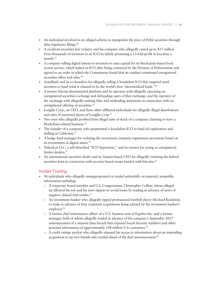- An individual involved in an alleged scheme to manipulate the price of Fitbit securities through false regulatory [flings.46](https://filings.46)
- A recidivist securities law violator and his company who allegedly raised up to \$15 million from thousands of investors in an ICO by falsely promising a 13-fold proft in less than a month.<sup>47</sup>
- A company selling digital tokens to investors to raise capital for its blockchain-based food review service, which halted its ICO after being contacted by the Division of Enforcement and agreed to an order in which the Commission found that its conduct constituted unregistered securities offers and sales.<sup>48</sup>
- AriseBank and its co-founders for allegedly selling a fraudulent ICO that targeted retail investors to fund what it claimed to be the world's frst "decentralized bank."49
- A former bitcoin-denominated platform and its operator with allegedly operating an unregistered securities exchange and defrauding users of that exchange, and the operator of the exchange with allegedly making false and misleading statements in connection with an unregistered offering of securities.<sup>50</sup>
- Longfn Corp., its CEO, and three other affliated individuals for allegedly illegal distributions and sales of restricted shares of Longfin Corp.<sup>51</sup>
- Two men who allegedly profted from illegal sales of stock of a company claiming to have a blockchain-related business.<sup>52</sup>
- The founder of a company who perpetrated a fraudulent ICO to fund oil exploration and drilling in [California.53](https://California.53)
- A hedge fund manager for violating the investment company registration provisions based on its investments in digital assets.<sup>54</sup>
- TokenLot LLC, a self-described "ICO Superstore," and its owners for acting as unregistered broker-dealers.<sup>55</sup>
- An international securities dealer and its Austria-based CEO for allegedly violating the federal securities laws in connection with security-based swaps funded with bitcoins.<sup>56</sup>

### Insider Trading

- 56 individuals who allegedly misappropriated or traded unlawfully on material, nonpublic information including:
	- » A corporate board member and U.S. Congressman, Christopher Collins, whose alleged tip allowed his son and his son's tippees to avoid losses by trading in advance of news of negative clinical trial [results.57](https://results.57)
	- » An investment banker who allegedly tipped professional football player Mychael Kendricks to trade in advance of four corporate acquisitions being advised by the investment banker's employer.<sup>58</sup>
	- » A former chief information officer of a U.S. business unit of Equifax Inc. and a former manager, both of whom allegedly traded in advance of the company's September 2017 announcement of a massive data breach that exposed Social Security numbers and other personal information of approximately 148 million U.S. customers.<sup>59</sup>
	- » A credit ratings analyst who allegedly misused his access to information about an impending acquisition to tip two friends who traded ahead of the deal announcement.<sup>60</sup>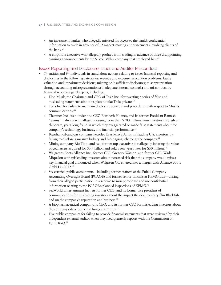- » An investment banker who allegedly misused his access to the bank's confdential information to trade in advance of 12 market-moving announcements involving clients of the bank.<sup>61</sup>
- » A corporate executive who allegedly profted from trading in advance of three disappointing earnings announcements by the Silicon Valley company that employed him.<sup>62</sup>

### Issuer Reporting and Disclosure Issues and Auditor Misconduct

- 54 entities and 94 individuals in stand alone actions relating to issuer fnancial reporting and disclosures in the following categories: revenue and expense recognition problems; faulty valuation and impairment decisions; missing or insuffcient disclosures; misappropriation through accounting misrepresentations; inadequate internal controls; and misconduct by fnancial reporting gatekeepers, including:
	- » Elon Musk, the Chairman and CEO of Tesla Inc., for tweeting a series of false and misleading statements about his plan to take Tesla private.<sup>63</sup>
	- » Tesla Inc. for failing to maintain disclosure controls and procedures with respect to Musk's [communications.64](https://communications.64)
	- » Theranos Inc., its founder and CEO Elizabeth Holmes, and its former President Ramesh "Sunny" Balwani with allegedly raising more than \$700 million from investors through an elaborate, years-long fraud in which they exaggerated or made false statements about the company's technology, business, and financial performance.<sup>65</sup>
	- » Brazilian oil-and-gas company Petróleo Brasileiro S.A. for misleading U.S. investors by failing to disclose a massive bribery and bid-rigging scheme at the company.<sup>66</sup>
	- » Mining company Rio Tinto and two former top executives for allegedly infating the value of coal assets acquired for \$3.7 billion and sold a few years later for \$50 million.<sup>67</sup>
	- » Walgreens Boots Alliance Inc., former CEO Gregory Wasson, and former CFO Wade Miquelon with misleading investors about increased risk that the company would miss a key fnancial goal announced when Walgreen Co. entered into a merger with Alliance Boots GmbH in 2012.<sup>68</sup>
	- Six certified public accountants—including former staffers at the Public Company Accounting Oversight Board (PCAOB) and former senior offcials at KPMG LLP—arising from their alleged participation in a scheme to misappropriate and use confdential information relating to the PCAOB's planned inspections of KPMG.<sup>69</sup>
	- » SeaWorld Entertainment Inc., its former CEO, and its former vice president of communications for misleading investors about the impact the documentary flm Blackfsh had on the company's reputation and business.<sup>70</sup>
	- » A biopharmaceutical company, its CEO, and its former CFO for misleading investors about the company's developmental lung cancer drug.<sup>71</sup>
	- » Five public companies for failing to provide fnancial statements that were reviewed by their independent external auditor when they fled quarterly reports with the Commission on Form 10-Q.72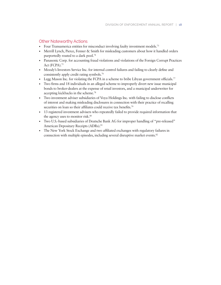### Other Noteworthy Actions

- Four Transamerica entities for misconduct involving faulty investment models.<sup>73</sup>
- Merrill Lynch, Pierce, Fenner & Smith for misleading customers about how it handled orders purportedly routed to a dark pool.<sup>74</sup>
- Panasonic Corp. for accounting fraud violations and violations of the Foreign Corrupt Practices Act (FCPA).<sup>75</sup>
- Moody's Investors Service Inc. for internal control failures and failing to clearly defne and consistently apply credit rating [symbols.76](https://symbols.76)
- Legg Mason Inc. for violating the FCPA in a scheme to bribe Libyan government officials.<sup>77</sup>
- Two frms and 18 individuals in an alleged scheme to improperly divert new issue municipal bonds to broker-dealers at the expense of retail investors, and a municipal underwriter for accepting kickbacks in the [scheme.78](https://scheme.78)
- Two investment adviser subsidiaries of Voya Holdings Inc. with failing to disclose conficts of interest and making misleading disclosures in connection with their practice of recalling securities on loan so their affiliates could receive tax benefits.<sup>79</sup>
- 13 registered investment advisers who repeatedly failed to provide required information that the agency uses to monitor risk.<sup>80</sup>
- Two U.S.-based subsidiaries of Deutsche Bank AG for improper handling of "pre-released" American Depositary Receipts (ADRs).<sup>81</sup>
- The New York Stock Exchange and two affliated exchanges with regulatory failures in connection with multiple episodes, including several disruptive market events.<sup>82</sup>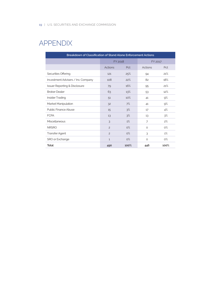# <span id="page-22-0"></span>APPENDIX

| Breakdown of Classification of Stand Alone Enforcement Actions |                            |       |                |       |  |  |
|----------------------------------------------------------------|----------------------------|-------|----------------|-------|--|--|
|                                                                | FY 2018                    |       | FY 2017        |       |  |  |
|                                                                | Actions                    | Pct   | Actions        | Pct   |  |  |
| Securities Offering                                            | 121                        | 25%   | 94             | 21%   |  |  |
| Inv.estment Advisers / Inv. Company                            | 108                        | 22%   | 82             | 18%   |  |  |
| <b>Issuer Reporting &amp; Disclosure</b>                       | 79                         | 16%   | 95             | 21%   |  |  |
| <b>Broker Dealer</b>                                           | 63                         | 13%   | 53             | 12%   |  |  |
| Insider Trading                                                | 51                         | 10%   | 41             | 9%    |  |  |
| Market Manipulation                                            | 32                         | 7%    | 41             | 9%    |  |  |
| Public Finance Abuse                                           | 15                         | 3%    | 17             | 4%    |  |  |
| <b>FCPA</b>                                                    | 13                         | 3%    | 13             | 3%    |  |  |
| Miscellaneous                                                  | 3                          | 1%    | $\overline{7}$ | 2%    |  |  |
| <b>NRSRO</b>                                                   | $\overline{c}$             | $O\%$ | $\circ$        | $O\%$ |  |  |
| <b>Transfer Agent</b>                                          | $\overline{c}$             | $O\%$ | 3              | 1%    |  |  |
| SRO or Exchange                                                | $\mathbf{1}$               | $O\%$ | $\circ$        | $O\%$ |  |  |
| <b>Total</b>                                                   | 100%<br>100%<br>446<br>490 |       |                |       |  |  |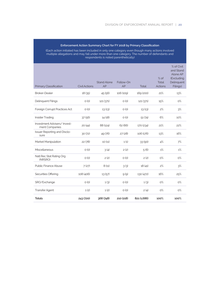### **Enforcement Action Summary Chart for FY 2018 by Primary Classification**

(Each action initiated has been included in only one category even though many actions involved multiple allegations and may fall under more than one category. The number of defendants and respondents is noted parenthetically)

| Primary Classification                        | <b>Civil Actions</b> | <b>Stand Alone</b><br>AP | Follow-On<br>AP | Total       | $%$ of<br>Total<br><b>Actions</b> | % of Civil<br>and Stand<br>Alone AP<br>(Excluding<br>Delinquent<br>Filings) |
|-----------------------------------------------|----------------------|--------------------------|-----------------|-------------|-----------------------------------|-----------------------------------------------------------------------------|
| <b>Broker-Dealer</b>                          | 18 (35)              | 45(56)                   | 106 (109)       | 169 (200)   | 21%                               | 13%                                                                         |
| <b>Delinquent Filings</b>                     | $O$ (O)              | 121 (371)                | $O$ (O)         | 121 (371)   | 15%                               | $O\%$                                                                       |
| Foreign Corrupt Practices Act                 | $O$ (O)              | 13(13)                   | $O$ (O)         | 13(13)      | 2%                                | 3%                                                                          |
| Insider Trading                               | 37(56)               | 14(18)                   | $O$ (O)         | 51(74)      | 6%                                | 10%                                                                         |
| Investment Advisers/Invest-<br>ment Companies | 20(44)               | 88 (124)                 | 62 (66)         | 170 (234)   | 21%                               | 22%                                                                         |
| <b>Issuer Reporting and Disclo-</b><br>sure   | 30(72)               | 49 (76)                  | 27(28)          | 106 (176)   | 13%                               | 16%                                                                         |
| Market Manipulation                           | 22(78)               | 10(11)                   | 1(1)            | 33 (90)     | 4%                                | 7%                                                                          |
| Miscellaneous                                 | $O$ (O)              | 3(4)                     | 2(2)            | 5(6)        | 1%                                | 1%                                                                          |
| Natl Rec Stat Rating Org<br>(NRSRO)           | $O$ (O)              | 2(2)                     | $O$ (O)         | 2(2)        | $O\%$                             | $O\%$                                                                       |
| <b>Public Finance Abuse</b>                   | 7(27)                | 8(11)                    | 3(3)            | 18(41)      | 2%                                | 3%                                                                          |
| Securities Offering                           | 108 (406)            | 13(57)                   | 9(9)            | 130 (472)   | 16%                               | 25%                                                                         |
| SRO/Exchange                                  | $O$ (O)              | 1(3)                     | $O$ (O)         | 1(3)        | $O\%$                             | $O\%$                                                                       |
| <b>Transfer Agent</b>                         | 1(2)                 | 1(2)                     | $O$ (O)         | 2(4)        | $O\%$                             | $O\%$                                                                       |
| <b>Totals</b>                                 | 243 (720)            | 368 (748)                | 210 (218)       | 821 (1.686) | 100%                              | 100%                                                                        |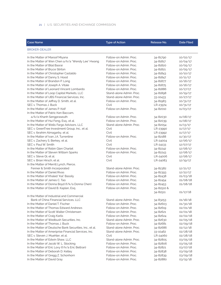| <b>Case Name</b>                                        | <b>Type of Action</b>    | Release No.  | <b>Date Filed</b> |
|---------------------------------------------------------|--------------------------|--------------|-------------------|
| <b>BROKER-DEALER</b>                                    |                          |              |                   |
| In the Matter of Maroof Miyana                          | Follow-on Admin, Proc.   | 34-81790     | 10/02/17          |
| In the Matter of Wen Chen a/k/a "Wendy Lee" Hwang       | Follow-on Admin, Proc.   | 34-81817     | 10/04/17          |
| In the Matter of Bilal Basrai                           | Follow-on Admin, Proc.   | 34-81820     | 10/05/17          |
| In the Matter of Bryce Stirton                          | Follow-on Admin, Proc.   | 34-81821     | 10/05/17          |
| In the Matter of Christopher Castaldo                   | Follow-on Admin, Proc.   | 34-81843     | 10/10/17          |
| In the Matter of Danny S. Hood                          | Follow-on Admin, Proc.   | 34-81847     | 10/11/17          |
| In the Matter of Brandon P. Long                        | Follow-on Admin, Proc.   | 34-81877     | 10/16/17          |
| In the Matter of Joseph A. Vitale                       | Follow-on Admin, Proc.   | 34-81875     | 10/16/17          |
| In the Matter of Leonard Vincent Lombardo               | Follow-on Admin, Proc.   | 34-81886     | 10/17/17          |
| In the Matter of Loop Capital Markets, LLC              | Stand-alone Admin, Proc. | 34-81898     | 10/19/17          |
| In the Matter of UBS Financial Services, Inc.           | Stand-alone Admin, Proc. | 33-10433     | 10/27/17          |
| In the Matter of Jeffrey D. Smith, et al.               | Follow-on Admin, Proc.   | 34-81983     | 10/31/17          |
| SEC v. Thomas J. Buck                                   | Civil                    | LR-23974     | 10/31/17          |
| In the Matter of James P. Kolf                          | Follow-on Admin. Proc.   | 34-82010     | 11/03/17          |
| In the Matter of Patric Ken Baccam,                     |                          |              |                   |
| a/k/a Khanh Sengpraseuth                                | Follow-on Admin, Proc.   | 34-82030     | 11/08/17          |
| In the Matter of Hui Feng, Esq., et al.                 | Follow-on Admin, Proc.   | 34-82039     | 11/08/17          |
| In the Matter of Wells Fargo Advisors, LLC              | Stand-alone Admin, Proc. | 34-82054     | 11/13/17          |
| SEC v. GreenTree Investment Group, Inc., et al.         | Civil                    | LR-23990     | 11/17/17          |
| SEC v. Ibrahim Almagarby, et al.                        | Civil                    | LR-23992     | 11/17/17          |
| In the Matter of Ivan J.A. Turrentine                   | Follow-on Admin, Proc.   | 34-82188     | 11/30/17          |
| SEC v. Zachery S. Berkey, et al.                        | Civil                    | LR-24004     | 12/06/17          |
| SEC v. Paul W. Smith                                    | Civil                    | $LR - 24133$ | 12/07/17          |
| In the Matter of Robin Glen Charlet                     | Follow-on Admin, Proc.   | 34-82242     | 12/08/17          |
| In the Matter of Steven William Sparks                  | Follow-on Admin, Proc.   | 34-82243     | 12/08/17          |
| SEC v. Steve Qi, et al.                                 | Civil                    | LR-24006     | 12/08/17          |
| SEC v. Brian Hirsch, et al.                             | Civil                    | LR-24083     | 12/19/17          |
| In the Matter of Merrill Lynch, Pierce,                 |                          |              |                   |
| Fenner & Smith Incorporated                             | Stand-alone Admin. Proc. | 34-82382     | 12/21/17          |
| In the Matter of Daniel Rivas                           | Follow-on Admin, Proc.   | 34-82393     | 12/22/17          |
| In the Matter of Khaled "Kal" Bassily                   | Follow-on Admin, Proc.   | 34-82438     | 01/03/18          |
| In the Matter of James C. Tao                           | Follow-on Admin, Proc.   | 34-82454     | 01/08/18          |
| In the Matter of Donna Boyd (f/k/a Donna Chen)          | Follow-on Admin, Proc.   | 34-82453     | 01/08/18          |
| In the Matter of David B. Kaplan, Esq.                  | Follow-on Admin, Proc.   | 34-82510 &   |                   |
|                                                         |                          | 34-82511     | 01/17/18          |
| In the Matter of Industrial and Commercial              |                          |              |                   |
| Bank of China Financial Services, LLC                   | Stand-alone Admin. Proc. | 34-83253     | 01/18/18          |
| In the Matter of Daniel T. Fischer                      | Follow-on Admin. Proc.   | 34-82603     | 01/30/18          |
| In the Matter of Thomas Edward Andrews                  | Follow-on Admin, Proc.   | 34-82619     | 02/01/18          |
| In the Matter of Scott Walter Christensen               | Follow-on Admin, Proc.   | 34-82621     | 02/01/18          |
| In the Matter of Craig Karlis                           | Follow-on Admin. Proc.   | 34-82624     | 02/02/18          |
| In the Matter of Wedbush Securities, Inc.               | Stand-alone Admin, Proc. | 34-82630     | 02/05/18          |
| In the Matter of Thomas J. Buck                         | Follow-on Admin. Proc.   | 34-82681     | 02/09/18          |
| In the Matter of Deutsche Bank Securities, Inc., et al. | Stand-alone Admin. Proc. | 34-82686     | 02/12/18          |
| In the Matter of Ameriprise Financial Services, Inc.    | Stand-alone Admin. Proc. | 33-10462     | 02/28/18          |
| SEC v. Steven J. Muehler, et al.                        | Civil                    | LR-24060     | 02/28/18          |
| In the Matter of Edwin Shaw, LLC                        | Stand-alone Admin. Proc. | 34-82805     | 03/05/18          |
| In the Matter of Jacob W. L. Stocking                   | Follow-on Admin, Proc.   | 34-82806     | 03/05/18          |
| In the Matter of Eric Lovy (f/k/a Eric Beltran)         | Follow-on Admin. Proc.   | 34-82821     | 03/07/18          |
| In the Matter of Deborah D. Kelley                      | Follow-on Admin. Proc.   | 34-82838     | 03/09/18          |
| In the Matter of Gregg Z. Schonhorn                     | Follow-on Admin. Proc.   | 34-82839     | 03/09/18          |
| In the Matter of David Gray                             | Follow-on Admin. Proc.   | 34-82880     | 03/15/18          |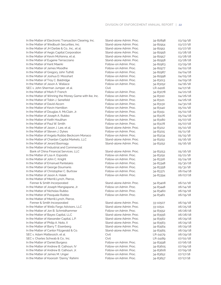| In the Matter of Electronic Transaction Clearing, Inc. | Stand-alone Admin. Proc. | 34-82898 | 03/19/18 |
|--------------------------------------------------------|--------------------------|----------|----------|
| In the Matter of Wedbush Securities, Inc.              | Stand-alone Admin. Proc. | 34-82954 | 03/27/18 |
| In the Matter of JH Darbie & Co., Inc., et al.         | Stand-alone Admin. Proc. | 34-82951 | 03/27/18 |
| In the Matter of Aegis Capital Corporation             | Stand-alone Admin. Proc. | 34-82956 | 03/28/18 |
| In the Matter of Kevin McKenna, et al.                 | Stand-alone Admin. Proc. | 34-82957 | 03/28/18 |
| In the Matter of Eugene Terracciano                    | Stand-alone Admin. Proc. | 34-82958 | 03/28/18 |
| In the Matter of Kent Maerki                           | Follow-on Admin. Proc.   | 34-82963 | 03/29/18 |
| In the Matter of James Moodhe                          | Follow-on Admin. Proc.   | 34-82977 | 04/02/18 |
| In the Matter of Gregory John Tuthill                  | Follow-on Admin. Proc.   | 34-82987 | 04/04/18 |
| In the Matter of Joshua D. Mosshart                    | Follow-on Admin. Proc.   | 34-82998 | 04/05/18 |
| In the Matter of Troy C. Baldridge                     | Follow-on Admin. Proc.   | 34-83013 | 04/09/18 |
| In the Matter of Jason A. Wallace                      | Follow-on Admin. Proc.   | 34-83052 | 04/16/18 |
| SEC v. John Sherman Jumper, et al.                     | Civil                    | LR-24116 | 04/17/18 |
| In the Matter of Mark P. French                        | Follow-on Admin. Proc.   | 34-83078 | 04/20/18 |
| In the Matter of Winning the Money Game with Ike, Inc. | Follow-on Admin. Proc.   | 34-83110 | 04/26/18 |
| In the Matter of Tobin J. Senefeld                     | Follow-on Admin. Proc.   | 34-83121 | 04/26/18 |
| In the Matter of David Alcorn                          | Follow-on Admin. Proc.   | 34-83130 | 04/30/18 |
| In the Matter of Kevin Hamilton                        | Follow-on Admin. Proc.   | 34-83140 | 05/01/18 |
| In the Matter of Douglas A. McClain, Jr.               | Follow-on Admin. Proc.   | 34-83151 | 05/02/18 |
| In the Matter of Joseph A. Rubbo                       | Follow-on Admin, Proc.   | 34-83176 | 05/04/18 |
| In the Matter of Keith Houlihan                        | Follow-on Admin, Proc.   | 34-83180 | 05/07/18 |
| In the Matter of Paul W. Smith                         | Follow-on Admin. Proc.   | 34-83178 | 05/07/18 |
| In the Matter of Jason J. Lee, et al.                  | Stand-alone Admin. Proc. | 34-83212 | 05/10/18 |
| In the Matter of Steven J. Dykes                       | Follow-on Admin, Proc.   | 34-83215 | 05/11/18 |
| In the Matter of Angela Rubbo Beckcom Monaco           | Follow-on Admin. Proc.   | 34-83234 | 05/15/18 |
| In the Matter of Chardan Capital Markets, LLC          | Stand-alone Admin. Proc. | 34-83251 | 05/16/18 |
| In the Matter of Jerard Basmagy                        | Stand-alone Admin. Proc. | 34-83252 | 05/16/18 |
| In the Matter of Industrial and Commercial             |                          |          |          |
| Bank of China Financial Services, LLC                  | Stand-alone Admin. Proc. | 34-83253 | 05/16/18 |
| In the Matter of Lisa A. Esposito                      | Follow-on Admin. Proc.   | 34-83291 | 05/21/18 |
| In the Matter of John C. Knight                        | Follow-on Admin. Proc.   | 34-83316 | 05/24/18 |
| In the Matter of Emanuel Pantelakis                    | Follow-on Admin. Proc.   | 34-83348 | 05/30/18 |
| In the Matter of George Doumanis                       | Follow-on Admin, Proc.   | 34-83358 | 05/31/18 |
| In the Matter of Christopher C. Burtraw                | Follow-on Admin. Proc.   | 34-83371 | 06/04/18 |
| In the Matter of Jason A. Halek                        | Follow-on Admin. Proc.   | 34-83394 | 06/07/18 |
| In the Matter of Merrill Lynch, Pierce,                |                          |          |          |
| Fenner & Smith Incorporated                            | Stand-alone Admin, Proc. | 34-83408 | 06/12/18 |
| In the Matter of Joseph Mangiapane, Jr.                | Follow-on Admin. Proc.   | 34-83448 | 06/14/18 |
| In the Matter of Nicholas Rubbo                        | Follow-on Admin, Proc.   | 34-83460 | 06/19/18 |
| In the Matter of Pasquale Rubbo                        | Follow-on Admin. Proc.   | 34-83461 | 06/19/18 |
| In the Matter of Merrill Lynch, Pierce,                |                          |          |          |
| Fenner & Smith Incorporated                            | Stand-alone Admin. Proc. | 33-10507 | 06/19/18 |
| In the Matter of Wells Fargo Advisors, LLC             | Stand-alone Admin. Proc. | 33-10511 | 06/25/18 |
| In the Matter of Jon B. Schmidhammer                   | Follow-on Admin. Proc.   | 34-83552 | 06/28/18 |
| In the Matter of Bayes Capital, LLC                    | Stand-alone Admin, Proc. | 34-83556 | 06/28/18 |
| In the Matter of Alexander Capital, L.P.               | Stand-alone Admin. Proc. | 34-83562 | 06/29/18 |
| In the Matter of Philip A. Noto, II                    | Stand-alone Admin. Proc. | 34-83563 | 06/29/18 |
| In the Matter of Barry T. Eisenberg                    | Stand-alone Admin. Proc. | 34-83564 | 06/29/18 |
| In the Matter of Cantor Fitzgerald & Co.               | Stand-alone Admin. Proc. | 34-83565 | 06/29/18 |
| SEC v. Adam Mattessich, et al.                         | Civil                    | LR-24179 | 06/29/18 |
| SEC v. Charles Schwab & Co., Inc.                      | Civil                    | LR-24189 | 07/02/18 |
| In the Matter of Daniel Burgess                        | Follow-on Admin. Proc.   | 34-83598 | 07/06/18 |
| In the Matter of Andrew B. Calhoun, IV                 | Follow-on Admin. Proc.   | 34-83605 | 07/09/18 |
| In the Matter of Andrew B. Calhoun, Jr.                | Follow-on Admin. Proc.   | 34-83606 | 07/09/18 |
| In the Matter of James M. Unger                        | Follow-on Admin. Proc.   | 34-83652 | 07/17/18 |
| In the Matter of Koorosh "Danny" Rahimi                | Follow-on Admin. Proc.   | 34-83657 | 07/17/18 |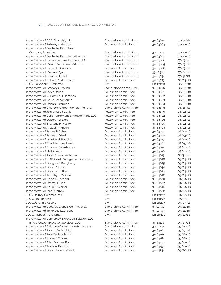| In the Matter of BGC Financial, L.P.                              | Stand-alone Admin. Proc. | 34-83650 | 07/17/18 |
|-------------------------------------------------------------------|--------------------------|----------|----------|
| In the Matter of Jefferey A. Gordon                               | Follow-on Admin, Proc.   | 34-83684 | 07/20/18 |
| In the Matter of Deutsche Bank Trust                              |                          |          |          |
| Company Americas                                                  | Stand-alone Admin. Proc. | 33-10523 | 07/20/18 |
| In the Matter of Deutsche Bank Securities, Inc.                   | Stand-alone Admin, Proc. | 34-83677 | 07/20/18 |
| In the Matter of Sycamore Lane Partners, LLC                      | Stand-alone Admin, Proc. | 34-83686 | 07/23/18 |
| In the Matter of Mizuho Securities USA, LLC                       | Stand-alone Admin. Proc. | 34-83685 | 07/23/18 |
| In the Matter of Richard T. Cunniffe                              | Follow-on Admin. Proc.   | 34-83688 |          |
|                                                                   | Stand-alone Admin. Proc. |          | 07/23/18 |
| In the Matter of Melanie Ryan<br>In the Matter of Brandon T. Neff | Stand-alone Admin, Proc. | 33-10524 | 07/24/18 |
| In the Matter of William Z. McFarland                             | Follow-on Admin. Proc.   | 34-83754 | 07/31/18 |
|                                                                   |                          | 34-83773 | 08/03/18 |
| SEC v. Salvadore D. Palermo                                       | Civil                    | LR-24229 | 08/06/18 |
| In the Matter of Gregory G. Young                                 | Stand-alone Admin. Proc. | 34-83779 | 08/06/18 |
| In the Matter of Steve Bailen                                     | Follow-on Admin, Proc.   | 34-83801 | 08/08/18 |
| In the Matter of William Paul Hamilton                            | Follow-on Admin, Proc.   | 34-83802 | 08/08/18 |
| In the Matter of Paula Saccomanno                                 | Follow-on Admin, Proc.   | 34-83803 | 08/08/18 |
| In the Matter of Dennis Swerdlen                                  | Follow-on Admin, Proc.   | 34-83804 | 08/08/18 |
| In the Matter of Citigroup Global Markets, Inc., et al.           | Stand-alone Admin. Proc. | 34-83859 | 08/16/18 |
| In the Matter of Jeffrey Scott Davis                              | Follow-on Admin. Proc.   | 34-83899 | 08/22/18 |
| In the Matter of Core Performance Management, LLC                 | Follow-on Admin, Proc.   | 34-83902 | 08/22/18 |
| In the Matter of Deborah B. Dora                                  | Follow-on Admin, Proc.   | 34-83906 | 08/22/18 |
| In the Matter of Sharlene F. Mesite                               | Follow-on Admin, Proc.   | 34-83905 | 08/22/18 |
| In the Matter of Anadel R. Pinzon                                 | Follow-on Admin. Proc.   | 34-83903 | 08/22/18 |
| In the Matter of James P. Scherr                                  | Follow-on Admin, Proc.   | 34-83901 | 08/22/18 |
| In the Matter of James J. O'Neil                                  | Follow-on Admin, Proc.   | 34-83930 | 08/23/18 |
| In the Matter of Lynette M. Robbins                               | Follow-on Admin, Proc.   | 34-83957 | 08/27/18 |
| In the Matter of Chad Anthony Lewis                               | Follow-on Admin, Proc.   | 34-83981 | 08/29/18 |
| In the Matter of Bruce A. Broekhuizen                             | Follow-on Admin. Proc.   | 34-84014 | 08/31/18 |
| In the Matter of Neil P. Kelly                                    | Follow-on Admin, Proc.   | 34-84016 | 08/31/18 |
| In the Matter of John M. Kirschenbaum                             | Follow-on Admin, Proc.   | 34-84015 | 08/31/18 |
| In the Matter of RMR Asset Management Company                     | Follow-on Admin, Proc.   | 34-84028 | 09/04/18 |
| In the Matter of Douglas J. Derryberry                            | Follow-on Admin, Proc.   | 34-84025 | 09/04/18 |
| In the Matter of David R. Frost                                   | Follow-on Admin. Proc.   | 34-84030 | 09/04/18 |
| In the Matter of David S. Luttbeg                                 | Follow-on Admin. Proc.   | 34-84018 | 09/04/18 |
| In the Matter of Timothy J. McAloon                               | Follow-on Admin. Proc.   | 34-84026 | 09/04/18 |
| In the Matter of Ralph M. Riccardi                                | Follow-on Admin, Proc.   | 34-84029 | 09/04/18 |
| In the Matter of Dewey T. Tran                                    | Follow-on Admin, Proc.   | 34-84027 | 09/04/18 |
| In the Matter of Philip A. Weiner                                 | Follow-on Admin. Proc.   | 34-84019 | 09/04/18 |
| In the Matter of Mark Morrow                                      | Follow-on Admin. Proc.   | 34-84042 | 09/05/18 |
| SEC v. Jeffrey Goldman, et al.                                    | Civil                    | LR-24257 | 09/05/18 |
| SEC v. Emil Botvinnik                                             | Civil                    | LR-24277 | 09/07/18 |
| SEC v. Jovannie Aquino                                            | Civil                    | LR-24277 | 09/07/18 |
| In the Matter of Cadaret, Grant & Co., Inc., et al.               | Stand-alone Admin. Proc. | 33-10542 | 09/11/18 |
| In the Matter of TokenLot, LLC, et al.                            | Stand-alone Admin. Proc. | 33-10543 | 09/11/18 |
| SEC v. Michael A. Bressman                                        | Civil                    | LR-24300 | 09/12/18 |
| In the Matter of Convergex Execution Solution, LLC,               |                          |          |          |
| n/k/a Cowen Execution Services, LLC                               | Stand-alone Admin. Proc. | 34-84116 | 09/13/18 |
| In the Matter of Citigroup Global Markets, Inc., et al.           | Stand-alone Admin. Proc. | 33-10545 | 09/14/18 |
| In the Matter of John L. Gathright, Jr.                           | Follow-on Admin. Proc.   | 34-84163 | 09/17/18 |
| In the Matter of Jennifer R. Johnson                              | Follow-on Admin. Proc.   | 34-84181 | 09/18/18 |
| In the Matter of Susan E. Walker                                  | Follow-on Admin. Proc.   | 34-84182 | 09/18/18 |
| In the Matter of Allan Michael Roth                               | Follow-on Admin. Proc.   | 34-84201 | 09/19/18 |
| In the Matter of Travis A. Branch                                 | Follow-on Admin. Proc.   | 34-84199 | 09/19/18 |
| In the Matter of David Howard Welch                               | Follow-on Admin. Proc.   | 34-84234 | 09/20/18 |
|                                                                   |                          |          |          |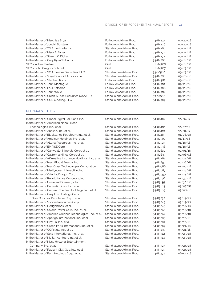| In the Matter of Marc Jay Bryant                     | Follow-on Admin, Proc.   | 34-84235 | 09/20/18 |
|------------------------------------------------------|--------------------------|----------|----------|
| In the Matter of Joel N. Burstein                    | Follow-on Admin, Proc.   | 34-84226 | 09/20/18 |
| In the Matter of TD Ameritrade, Inc.                 | Stand-alone Admin. Proc. | 34-84269 | 09/24/18 |
| In the Matter of Mary A. Faher                       | Follow-on Admin, Proc.   | 34-84271 | 09/24/18 |
| In the Matter of Shawn K. Dicken                     | Follow-on Admin, Proc.   | 34-84272 | 09/24/18 |
| In the Matter of Cory Ryan Williams                  | Follow-on Admin, Proc.   | 34-84268 | 09/24/18 |
| SEC v. Adam Rentzer                                  | Civil                    | LR-24286 | 09/24/18 |
| SEC v. John Gregory Schmidt                          | Civil                    | LR-24287 | 09/25/18 |
| In the Matter of SG Americas Securities, LLC         | Stand-alone Admin. Proc. | 33-10560 | 09/25/18 |
| In the Matter of Voya Financial Advisors, Inc.       | Stand-alone Admin. Proc. | 34-84288 | 09/26/18 |
| In the Matter of Stephen Romo                        | Follow-on Admin, Proc.   | 34-84318 | 09/28/18 |
| In the Matter of John Montaque                       | Follow-on Admin, Proc.   | 34-84310 | 09/28/18 |
| In the Matter of Paul Katsaros                       | Follow-on Admin, Proc.   | 34-84306 | 09/28/18 |
| In the Matter of John Wolle                          | Follow-on Admin, Proc.   | 34-84316 | 09/28/18 |
| In the Matter of Credit Suisse Securities (USA), LLC | Stand-alone Admin, Proc. | 33-10565 | 09/28/18 |
| In the Matter of COR Clearing, LLC                   | Stand-alone Admin, Proc. | 34-84309 | 09/28/18 |
|                                                      |                          |          |          |

### DELINQUENT FILINGS

| In the Matter of Global Digital Solutions, Inc.               | Stand-alone Admin, Proc. | 34-82404 | 12/26/17 |
|---------------------------------------------------------------|--------------------------|----------|----------|
| In the Matter of American Nano Silicon                        |                          |          |          |
| Technologies, Inc., et al.                                    | Stand-alone Admin, Proc. | 34-82412 | 12/27/17 |
| In the Matter of Abakan, Inc., et al.                         | Stand-alone Admin, Proc. | 34-82419 | 12/28/17 |
| In the Matter of Blacksands Petroleum, Inc., et al.           | Stand-alone Admin, Proc. | 34-82463 | 01/08/18 |
| In the Matter of Ambicon Holdings, Inc., et al.               | Stand-alone Admin, Proc. | 34-82507 | 01/17/18 |
| In the Matter of Altona Resources, Inc., et al.               | Stand-alone Admin, Proc. | 34-82527 | 01/18/18 |
| In the Matter of EMRISE Corp.                                 | Stand-alone Admin, Proc. | 34-82536 | 01/18/18 |
| In the Matter of Canwealth Minerals Corp., et al.             | Stand-alone Admin. Proc. | 34-82610 | 02/01/18 |
| In the Matter of California Mines Corp., et al.               | Stand-alone Admin, Proc. | 34-82639 | 02/06/18 |
| In the Matter of Affirmative Insurance Holdings, Inc., et al. | Stand-alone Admin, Proc. | 34-82762 | 02/22/18 |
| In the Matter of New Global Energy, Inc                       | Stand-alone Admin, Proc. | 34-82893 | 03/16/18 |
| In the Matter of NextGlass Technologies Corporation           | Stand-alone Admin. Proc. | 34-82986 | 04/03/18 |
| In the Matter of MarilynJean Interactive, Inc.                | Stand-alone Admin, Proc. | 34-83087 | 04/23/18 |
| In the Matter of Oriental Dragon Corp.                        | Stand-alone Admin, Proc. | 34-83099 | 04/25/18 |
| In the Matter of Revolutionary Concepts, Inc.                 | Stand-alone Admin, Proc. | 34-83136 | 04/30/18 |
| In the Matter of Universal Bioenergy, Inc.                    | Stand-alone Admin, Proc. | 34-83135 | 04/30/18 |
| In the Matter of Baltia Air Lines, Inc., et al.               | Stand-alone Admin. Proc. | 34-83184 | 05/07/18 |
| In the Matter of Content Checked Holdings, Inc., et al.       | Stand-alone Admin, Proc. | 34-83189 | 05/08/18 |
| In the Matter of Grey Fox Holdings Corp.                      |                          |          |          |
| (f/k/a Gray Fox Petroleum Corp.), et al.                      | Stand-alone Admin, Proc. | 34-83232 | 05/14/18 |
| In the Matter of Sonora Resources Corp.                       | Stand-alone Admin. Proc. | 34-83249 | 05/15/18 |
| In the Matter of Hedgebrook, et al.                           | Stand-alone Admin, Proc. | 34-83245 | 05/15/18 |
| In the Matter of Solaris Power Cells, Inc., et. al.           | Stand-alone Admin, Proc. | 34-83262 | 05/16/18 |
| In the Matter of America Greener Technologies, Inc., et al.   | Stand-alone Admin, Proc. | 34-83264 | 05/16/18 |
| In the Matter of Apptigo International, Inc., et al.          | Stand-alone Admin, Proc. | 34-83285 | 05/17/18 |
| In the Matter of Play La, Inc., et al.                        | Stand-alone Admin, Proc. | 34-83281 | 05/17/18 |
| In the Matter of Green Parts International, Inc., et al.      | Stand-alone Admin, Proc. | 34-83299 | 05/21/18 |
| In the Matter of COPsync, Inc., et al.                        | Stand-alone Admin, Proc. | 34-83297 | 05/21/18 |
| In the Matter of Solo International, Inc., et al.             | Stand-alone Admin, Proc. | 34-83312 | 05/23/18 |
| In the Matter of Mullan Agritech, Inc., et al.                | Stand-alone Admin, Proc. | 34-83314 | 05/23/18 |
| In the Matter of Mass Hysteria Entertainment                  |                          |          |          |
| Company, Inc., et al.                                         | Stand-alone Admin. Proc. | 34-83327 | 05/24/18 |
| In the Matter of Radiant Oil & Gas, Inc., et al.              | Stand-alone Admin. Proc. | 34-83329 | 05/24/18 |
| In the Matter of Fern Holdings Corp., et al.                  | Stand-alone Admin, Proc. | 34-83373 | 06/04/18 |
|                                                               |                          |          |          |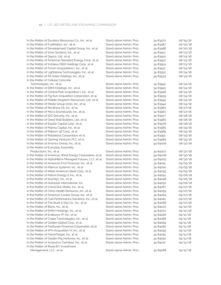| In the Matter of Escalera Resources Co., Inc., et al.     | Stand-alone Admin. Proc. | 34-83470 | 06/19/18 |
|-----------------------------------------------------------|--------------------------|----------|----------|
| In the Matter of FuelNation, Inc., et al.                 | Stand-alone Admin. Proc. | 34-83487 | 06/20/18 |
| In the Matter of Development Capital Group, Inc., et al.  | Stand-alone Admin, Proc. | 34-83488 | 06/20/18 |
| In the Matter of Inner Systems, Inc., et al.              | Stand-alone Admin. Proc. | 34-83921 | 08/23/18 |
| In the Matter of Gepco, Ltd., et al.                      | Stand-alone Admin. Proc. | 34-83920 | 08/23/18 |
| In the Matter of American Standard Energy Corp., et al.   | Stand-alone Admin, Proc. | 34-83922 | 08/23/18 |
| In the Matter of Kvintess F&DI Holdings Corp., et al.     | Stand-alone Admin. Proc. | 34-83924 | 08/23/18 |
| In the Matter of Forum Acquisitions I, Inc., et al.       | Stand-alone Admin. Proc. | 34-83931 | 08/24/18 |
| In the Matter of Lightstone Technologies, Inc., et al.    | Stand-alone Admin. Proc. | 34-83932 | 08/24/18 |
| In the Matter of RS Soda Holdings, Inc., et al.           | Stand-alone Admin. Proc. | 34-83933 | 08/24/18 |
| In the Matter of Cellular Concrete                        |                          |          |          |
| Technologies, Inc., et al.                                | Stand-alone Admin. Proc. | 34-83942 | 08/24/18 |
| In the Matter of EBHI Holdings, Inc., et al.              | Stand-alone Admin, Proc. | 34-83943 | 08/24/18 |
| In the Matter of Central Park Acquisition I, Inc., et al. | Stand-alone Admin. Proc. | 34-83946 | 08/24/18 |
| In the Matter of Fig Run Acquisition Corporation, et al.  | Stand-alone Admin, Proc. | 34-83939 | 08/24/18 |
| In the Matter of Middle Kingdom Resources, Ltd., et al.   | Stand-alone Admin, Proc. | 34-83945 | 08/24/18 |
| In the Matter of Media Group 2000, Inc., et al.           | Stand-alone Admin, Proc. | 34-83944 | 08/24/18 |
| In the Matter of Rio Bravo Oil, Inc., et al.              | Stand-alone Admin, Proc. | 34-83963 | 08/27/18 |
| In the Matter of Micra Soundcards, Inc., et al.           | Stand-alone Admin. Proc. | 34-83962 | 08/27/18 |
| In the Matter of IDO Security, Inc., et al.               | Stand-alone Admin, Proc. | 34-83977 | 08/28/18 |
| In the Matter of Great Wall Builders, Ltd., et al.        | Stand-alone Admin. Proc. | 34-83980 | 08/28/18 |
| In the Matter of Equilar Capital Corp., et al.            | Stand-alone Admin, Proc. | 34-83978 | 08/28/18 |
| In the Matter of Manna Capital, Inc., et al.              | Stand-alone Admin, Proc. | 34-83985 | 08/29/18 |
| In the Matter of Makism 3D Corp., et al.                  | Stand-alone Admin. Proc. | 34-83989 | 08/29/18 |
| In the Matter of Rotoblock Corporation, et al.            | Stand-alone Admin. Proc. | 34-83991 | 08/29/18 |
| In the Matter of Gaming Ventures PLC, et al.              | Stand-alone Admin, Proc. | 34-83984 | 08/29/18 |
| In the Matter of Amonra Omnia, Inc., et al.               | Stand-alone Admin. Proc. | 34-84006 | 08/30/18 |
| In the Matter of Everyday Assembly                        |                          |          |          |
| Productions, Inc., et al.                                 | Stand-alone Admin. Proc. | 34-84007 | 08/30/18 |
| In the Matter of Americas Wind Energy Corporation, et al. | Stand-alone Admin, Proc. | 34-84008 | 08/30/18 |
| In the Matter of AlphaMetrix Managed Futures, LLC, et al. | Stand-alone Admin. Proc. | 34-84005 | 08/30/18 |
| In the Matter of American First Financial, Inc., et al.   | Stand-alone Admin. Proc. | 34-84041 | 09/05/18 |
| In the Matter of Alterrus Systems, Inc., et al.           | Stand-alone Admin. Proc. | 34-84040 | 09/05/18 |
| In the Matter of Allied American Steel Corp., et al.      | Stand-alone Admin. Proc. | 34-84039 | 09/05/18 |
| In the Matter of Petron Energy II, Inc., et al.           | Stand-alone Admin. Proc. | 34-84052 | 09/06/18 |
| In the Matter of ScanSys, Inc., et al.                    | Stand-alone Admin, Proc. | 34-84048 | 09/06/18 |
| In the Matter of Nutrastar International, Inc.            | Stand-alone Admin. Proc. | 34-84050 | 09/06/18 |
| In the Matter of CrossClick Media, Inc., et al.           | Stand-alone Admin, Proc. | 34-84067 | 09/07/18 |
| In the Matter of China Health Resource, Inc., et al.      | Stand-alone Admin. Proc. | 34-84059 | 09/07/18 |
| In the Matter of American Locker Group, Inc., et al.      | Stand-alone Admin. Proc. | 34-84064 | 09/07/18 |
| In the Matter of Fuel Performance Solutions, Inc., et al. | Stand-alone Admin. Proc. | 34-84061 | 09/07/18 |
| In the Matter of The Buck A Day Co., Inc., et al.         | Stand-alone Admin. Proc. | 34-84066 | 09/07/18 |
| In the Matter of Bitzio, Inc., et al.                     | Stand-alone Admin, Proc. | 34-84070 | 09/10/18 |
| In the Matter of EMAV Holdings, Inc., et al.              | Stand-alone Admin, Proc. | 34-84072 | 09/10/18 |
| In the Matter of Endeavor IP, Inc., et al.                | Stand-alone Admin, Proc. | 34-84080 | 09/11/18 |
| In the Matter of Crailar Technologies, Inc., et al.       | Stand-alone Admin, Proc. | 34-84086 | 09/11/18 |
| In the Matter of Golden Global Corp., et al.              | Stand-alone Admin. Proc. | 34-84084 | 09/11/18 |
| In the Matter of Fastfunds Financial Corporation, et al.  | Stand-alone Admin. Proc. | 34-84082 | 09/11/18 |
| In the Matter of AFH Acquisition VI, Inc., et al.         | Stand-alone Admin. Proc. | 34-84095 | 09/12/18 |
| In the Matter of FalconTarget, Inc., et al.               | Stand-alone Admin. Proc. | 34-84091 | 09/12/18 |
| In the Matter of Golden Pig Ventures, Inc., et al.        | Stand-alone Admin. Proc. | 34-84092 | 09/12/18 |
| In the Matter of Acquarius Cannibas, Inc., et al.         | Stand-alone Admin. Proc. | 34-84102 | 09/12/18 |
| In the Matter of Royal B.Y. Investment                    |                          |          |          |
| Management, LLC., et al.                                  | Stand-alone Admin. Proc. | 34-84088 | 09/12/18 |
|                                                           |                          |          |          |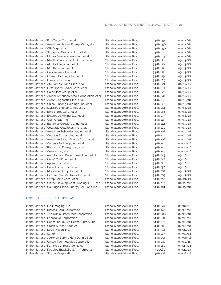| In the Matter of Eco-Trade Corp., et al.                    | Stand-alone Admin. Proc. | 34-84094 | 09/12/18 |
|-------------------------------------------------------------|--------------------------|----------|----------|
| In the Matter of American Natural Energy Corp., et al.      | Stand-alone Admin, Proc. | 34-84096 | 09/12/18 |
| In the Matter of CPI Corp., et al.                          | Stand-alone Admin, Proc. | 34-84090 | 09/12/18 |
| In the Matter of Stonewall Financial, Ltd., et al.          | Stand-alone Admin. Proc. | 34-84101 | 09/12/18 |
| In the Matter of Munro Developments, Inc., et al.           | Stand-alone Admin. Proc. | 34-84104 | 09/12/18 |
| In the Matter of MedPro Safety Products, Inc., et al.       | Stand-alone Admin, Proc. | 34-84121 | 09/13/18 |
| In the Matter of AFS Holdings, Inc., et al.                 | Stand-alone Admin, Proc. | 34-84110 | 09/13/18 |
| In the Matter of Montbriar, Inc., et al.                    | Stand-alone Admin, Proc. | 34-84112 | 09/13/18 |
| In the Matter of Geo Reserve Corp., et al.                  | Stand-alone Admin. Proc. | 34-84111 | 09/13/18 |
| In the Matter of Ournett Holdings, Inc., et al.             | Stand-alone Admin. Proc. | 34-84119 | 09/13/18 |
| In the Matter of Position, Inc., et al.                     | Stand-alone Admin. Proc. | 34-84109 | 09/13/18 |
| In the Matter of AMI James Brands, Inc., et al.             | Stand-alone Admin, Proc. | 34-84173 | 09/17/18 |
| In the Matter of First Liberty Power Corp., et al.          | Stand-alone Admin. Proc. | 34-84169 | 09/17/18 |
| In the Matter of ColorStars Group, et al.                   | Stand-alone Admin, Proc. | 34-84171 | 09/17/18 |
| In the Matter of Ampal-American Israel Corporation, et al.  | Stand-alone Admin, Proc. | 34-84178 | 09/17/18 |
| In the Matter of Avant Diagnostics, Inc., et al.            | Stand-alone Admin. Proc. | 34-84188 | 09/18/18 |
| In the Matter of China Ginseng Holdings, Inc., et al.       | Stand-alone Admin. Proc. | 34-84190 | 09/18/18 |
| In the Matter of Swissinso Holding, Inc., et al.            | Stand-alone Admin. Proc. | 34-84184 | 09/18/18 |
| In the Matter of Epic Stores Corp., et al.                  | Stand-alone Admin. Proc. | 34-84186 | 09/18/18 |
| In the Matter of Entourage Mining, Ltd., et al.             | Stand-alone Admin, Proc. | 34-84193 | 09/18/18 |
| In the Matter of GSM Group, Inc.                            | Stand-alone Admin, Proc. | 34-84211 | 09/19/18 |
| In the Matter of Bahamas Concierge, Inc., et al.            | Stand-alone Admin. Proc. | 34-84212 | 09/19/18 |
| In the Matter of Colorado Goldfields, Inc., et al.          | Stand-alone Admin, Proc. | 34-84220 | 09/19/18 |
| In the Matter of American Petro-Hunter, Inc., et al.        | Stand-alone Admin, Proc. | 34-84218 | 09/19/18 |
| In the Matter of Coupon Express, Inc., et al.               | Stand-alone Admin, Proc. | 34-84223 | 09/19/18 |
| In the Matter of American Sands Energy Corp., et al.        | Stand-alone Admin. Proc. | 34-84216 | 09/19/18 |
| In the Matter of Cybergy Holdings, Inc., et al.             | Stand-alone Admin, Proc. | 34-84249 | 09/20/18 |
| In the Matter of Petrosonic Energy, Inc., et al.            | Stand-alone Admin, Proc. | 34-84240 | 09/20/18 |
| In the Matter of Ceelox, Inc., et al.                       | Stand-alone Admin, Proc. | 34-84243 | 09/20/18 |
| In the Matter of Anpulo Food Development, Inc., et al.      | Stand-alone Admin, Proc. | 34-84245 | 09/20/18 |
| In the Matter of GeneSYS ID, Inc., et al.                   | Stand-alone Admin. Proc. | 34-84242 | 09/20/18 |
| In the Matter of Appian, Inc., et al.                       | Stand-alone Admin. Proc. | 34-84228 | 09/20/18 |
| In the Matter of Be Industries, Inc., et al.                | Stand-alone Admin, Proc. | 34-84250 | 09/20/18 |
| In the Matter of MaryJane Group, Inc., et al.               | Stand-alone Admin, Proc. | 34-84267 | 09/21/18 |
| In the Matter of Golden Claw Ventures, Inc., et al.         | Stand-alone Admin, Proc. | 34-84265 | 09/21/18 |
| In the Matter of Scrap China Corp., et al.                  | Stand-alone Admin. Proc. | 34-84253 | 09/21/18 |
| In the Matter of United Development Funding III, LP, et al. | Stand-alone Admin. Proc. | 34-84273 | 09/24/18 |
| In the Matter of Oakridge Global Energy Solutions, Inc.     | Stand-alone Admin. Proc. | 34-84301 | 09/27/18 |
|                                                             |                          |          |          |

### FOREIGN CORRUPT PRACTICES ACT

j

| In the Matter of Elbit Imaging, Ltd.                  | Stand-alone Admin. Proc. | 34-82849 | 03/09/18 |
|-------------------------------------------------------|--------------------------|----------|----------|
| In the Matter of Kinross Gold Corporation             | Stand-alone Admin. Proc. | 34-82946 | 03/26/18 |
| In the Matter of The Dun & Bradstreet Corporation     | Stand-alone Admin. Proc. | 34-83088 | 04/23/18 |
| In the Matter of Panasonic Corporation                | Stand-alone Admin, Proc. | 34-83128 | 04/30/18 |
| In the Matter of Beam, Inc., n/k/a Beam Suntory, Inc. | Stand-alone Admin. Proc. | 34-83575 | 07/02/18 |
| In the Matter of Credit Suisse Group AG               | Stand-alone Admin. Proc. | 34-83593 | 07/05/18 |
| In the Matter of Legg Mason, Inc.                     | Stand-alone Admin, Proc. | 34-83948 | 08/27/18 |
| In the Matter of Sanofi                               | Stand-alone Admin. Proc. | 34-84017 | 09/04/18 |
| In the Matter of JooHyun Bahn, a/k/a Dennis Bahn      | Stand-alone Admin. Proc. | 34-84054 | 09/06/18 |
| In the Matter of United Technologies Corporation      | Stand-alone Admin. Proc. | 34-84087 | 09/12/18 |
| In the Matter of Patricio Contesse Gonzalez           | Stand-alone Admin. Proc. | 34-84280 | 09/25/18 |
| In the Matter of Petroleo Brasileiro S.A. - Petrobras | Stand-alone Admin. Proc. | 33-10561 | 09/27/18 |
| In the Matter of Stryker Corporation                  | Stand-alone Admin, Proc. | 34-84308 | 09/28/18 |
|                                                       |                          |          |          |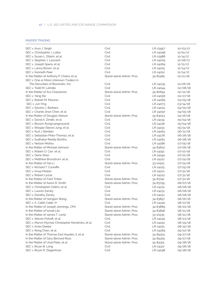### INSIDER TRADING

| SEC v. Arun J. Singh                                       | Civil                             | LR-23957 | 10/03/17             |
|------------------------------------------------------------|-----------------------------------|----------|----------------------|
| SEC v. Christopher J. Lollar                               | Civil                             | LR-24096 | 11/01/17             |
| SEC v. Susan L. Ellerin, et al.                            | Civil                             | LR-23986 | 11/14/17             |
| SEC v. Stephen J. Leonard                                  | Civil                             | LR-24005 | 12/06/17             |
| SEC v. Joseph Spera, et al.                                | Civil                             | LR-24084 | 12/11/17             |
| SEC v. Lanny Brown, et al.                                 | Civil                             | LR-24015 | 12/14/17             |
| SEC v. Kenneth Peer                                        | Civil                             | LR-24012 | 12/14/17             |
| In the Matter of Anthony P. Chiera, et al.                 | Stand-alone Admin. Proc.          | 34-82485 | 01/11/18             |
| SEC v. One or More Unknown Traders in                      |                                   |          |                      |
| The Securities of Bioverativ, Inc.                         | Civil                             | LR-24035 | 01/26/18             |
| SEC v. Todd M. LaVelle                                     | Civil                             | LR-24044 | 02/08/18             |
| In the Matter of Ara Chackerian                            | Stand-alone Admin, Proc.          | 34-82694 | 02/12/18             |
| SEC v. Yang Xie                                            | Civil                             | LR-24056 | 02/27/18             |
| SEC v. Robert M. Morano                                    | Civil                             | LR-24065 | 03/05/18             |
| SEC v. Jun Ying                                            | Civil                             | LR-24073 | 03/14/18             |
| SEC v. Saverio J. Barbera                                  | Civil                             | LR-24104 | 04/05/18             |
| SEC v. Charlie Jinan Chen, et al.                          | Civil                             | LR-24097 | 04/05/18             |
| In the Matter of Douglas Nelson                            | Stand-alone Admin. Proc.          | 34-83053 | 04/16/18             |
| SEC v. David A. Zimliki, et al.                            | Civil                             | LR-24134 | 05/04/18             |
| SEC v. Bovorn Rungruangnavarat                             | Civil                             | LR-24136 | 05/04/18             |
| SEC v. Woojae (Steve) Jung, et al.                         | Civil                             | LR-24153 | 05/31/18             |
| SEC v. Kurt J. Bordian                                     | Civil                             | LR-24164 | 06/12/18             |
| SEC v. Sebastian Pinto-Thomaz, et al.                      | Civil                             | LR-24178 | 06/26/18             |
| SEC v. Sudhakar Reddy Bonthu                               | Civil                             | LR-24183 | 06/28/18             |
| SEC v. Nelson Molina                                       | Civil                             | LR-24186 | 07/05/18             |
| In the Matter of Michael Johnson                           | Stand-alone Admin, Proc.          | 34-83602 | 07/06/18             |
| SEC v. Robert O. Carr, et al.                              | Civil                             | LR-24191 | 07/10/18             |
| SEC v. Gene Shen                                           | Civil                             | LR-24194 | 07/10/18             |
| SEC v. Matthew Brunstrum, et al.                           | Civil                             | LR-24212 | 07/24/18             |
| In the Matter of Yao Li                                    | Stand-alone Admin, Proc.          | 33-10525 | 07/24/18             |
| SEC v. Richard T. Cunniffe                                 | Civil                             | LR-24215 | 07/25/18             |
| SEC v. Anup Madan                                          | Civil                             | LR-24221 | 07/31/18             |
| <b>SEC v. Robert Lozuk</b>                                 | Civil                             | LR-24222 | 07/31/18             |
| In the Matter of Fred Tinker                               | Stand-alone Admin, Proc.          |          |                      |
|                                                            |                                   | 34-83742 | 07/31/18             |
| In the Matter of Aaron R. Smith                            | Stand-alone Admin. Proc.<br>Civil | 34-83795 | 08/07/18<br>08/08/18 |
| SEC v. Christopher Collins, et al.<br>SEC v. Lauren Zarsky | Civil                             | LR-24231 | 08/08/18             |
|                                                            | Civil                             | LR-24231 |                      |
| SEC v. Dorothy Zarsky                                      | Stand-alone Admin, Proc.          | LR-24231 | 08/08/18<br>08/16/18 |
| In the Matter of Honglan Wang                              |                                   | 34-83857 |                      |
| SEC v. A. Catlin Cade, IV                                  | Civil                             | LR-24240 | 08/17/18             |
| In the Matter of Joseph Jennings, CPA                      | Stand-alone Admin. Proc.          | 34-83889 | 08/20/18             |
| In the Matter of Ismail Lila                               | Stand-alone Admin, Proc.          | 34-83896 | 08/21/18             |
| In the Matter of James T. Lentz                            | Stand-alone Admin. Proc.          | 33-10535 | 08/22/18             |
| SEC v. Steven Fishoff, et al.                              | Civil                             | LR-24245 | 08/23/18             |
| SEC v. Marvin Mychal-Christopher Kendricks, et al.         | Civil                             | LR-24252 | 08/29/18             |
| SEC v. Amer Deeba                                          | Civil                             | LR-24251 | 08/30/18             |
| SEC v. Rong Chen, et al.                                   | Civil                             | LR-24269 | 09/10/18             |
| In the Matter of Thomas Earl Hayden, II, et al.            | Stand-alone Admin, Proc.          | 34-84304 | 09/27/18             |
| In the Matter of Gary Bernard Ross                         | Stand-alone Admin. Proc.          | 34-84305 | 09/27/18             |
| In the Matter of Unal Patel, et al.                        | Stand-alone Admin. Proc.          | 34-84315 | 09/28/18             |
| SEC v. Bryan B. Long                                       | Civil                             | LR-24317 | 09/28/18             |
| SEC v. Bryan R. Ziegenfuse                                 | Civil                             | LR-24298 | 09/28/18             |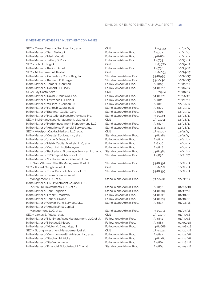### INVESTMENT ADVISERS/ INVESTMENT COMPANIES

| SEC v. Tweed Financial Services, Inc., et al.                | Civil                    | LR-23959 | 10/02/17 |
|--------------------------------------------------------------|--------------------------|----------|----------|
| In the Matter of Sam Sadeghi                                 | Follow-on Admin. Proc.   | IA-4792  | 10/11/17 |
| In the Matter of Mark Megalli                                | Follow-on Admin. Proc.   | 34-81861 | 10/12/17 |
| In the Matter of Jeffery S. Preston                          | Follow-on Admin. Proc.   | IA-4795  | 10/13/17 |
| SEC v. John H. Rogicki                                       | Civil                    | LR-23970 | 10/19/17 |
| In the Matter of Kevin J. Amell                              | Follow-on Admin. Proc.   | IA-4798  | 10/23/17 |
| SEC v. Mohammed Ali Rashid                                   | Civil                    | LR-24093 | 10/25/17 |
| In the Matter of Canterbury Consulting, Inc.                 | Stand-alone Admin. Proc. | 34-81959 | 10/26/17 |
| In the Matter of Kenneth P. Krueger                          | Stand-alone Admin. Proc. | 33-10430 | 10/26/17 |
| In the Matter of Tamer F. Moumen                             | Follow-on Admin, Proc.   | IA-4805  | 11/03/17 |
| In the Matter of Donald H. Ellison                           | Follow-on Admin. Proc.   | 34-82015 | 11/06/17 |
| SEC v. Jay Costa Kelter                                      | Civil                    | LR-23984 | 11/09/17 |
| In the Matter of David I. Osunkwo, Esq.                      | Follow-on Admin, Proc.   | 34-82070 | 11/14/17 |
| In the Matter of Lawrence E. Penn, III                       | Follow-on Admin. Proc.   | IA-4811  | 11/20/17 |
| In the Matter of William P. Carlson, Jr.                     | Follow-on Admin, Proc.   | IA-4821  | 12/05/17 |
| In the Matter of Paritosh Gupta, et al.                      | Stand-alone Admin, Proc. | IA-4820  | 12/05/17 |
| In the Matter of Brahman Capital Corp.                       | Stand-alone Admin. Proc. | IA-4819  | 12/05/17 |
| In the Matter of Institutional Investor Advisers, Inc.       | Stand-alone Admin. Proc. | 33-10443 | 12/08/17 |
| SEC v. Mohlman Asset Management, LLC, et al.                 | Civil                    | LR-24011 | 12/08/17 |
| In the Matter of Horter Investment Management, LLC           | Stand-alone Admin. Proc. | IA-4823  | 12/08/17 |
| In the Matter of Ameriprise Financial Services, Inc.         | Stand-alone Admin. Proc. | 34-82244 | 12/08/17 |
| SEC v. Westport Capital Markets, LLC, et al.                 | Civil                    | LR-24007 | 12/11/17 |
| In the Matter of Coastal Equities, Inc., et al.              | Stand-alone Admin, Proc. | 34-82282 | 12/11/17 |
| In the Matter of Justin D. Meadlin                           | Follow-on Admin. Proc.   | IA-4827  | 12/13/17 |
| In the Matter of Matrix Capital Markets, LLC, et al.         | Follow-on Admin, Proc.   | IA-82361 | 12/19/17 |
| In the Matter of Courtlin L. Holt-Nguyen                     | Follow-on Admin. Proc.   | IA-4828  | 12/19/17 |
| In the Matter of Packerland Brokerage Services, Inc., et al. | Stand-alone Admin. Proc. | 34-82383 | 12/21/17 |
| In the Matter of TPG Capital Advisors, LLC                   | Stand-alone Admin. Proc. | IA-4830  | 12/21/17 |
| In the Matter of Southwind Associates of NJ. Inc.            |                          |          |          |
| (d/b/a Villafrano Wealth Management), et al.                 | Stand-alone Admin. Proc. | 34-82397 | 12/22/17 |
| SEC v. Robert Gaughran, et al.                               | Civil                    | LR-24022 | 12/22/17 |
| In the Matter of Train, Babcock Advisors, LLC                | Stand-alone Admin. Proc. | 34-82399 | 12/22/17 |
| In the Matter of Team Financial Asset                        |                          |          |          |
| Management, LLC, et al.                                      | Stand-alone Admin. Proc. | 33-10448 | 12/22/17 |
| In the Matter of LKL Investment Counsel, LLC                 |                          |          |          |
| (a/k/a LKL Investments, LLC), et al.                         | Stand-alone Admin. Proc. | IA-4836  | 01/03/18 |
| In the Matter of John Tarpinian                              | Stand-alone Admin, Proc. | 34-82509 | 01/17/18 |
| In the Matter of Frank G. Mazzola                            | Follow-on Admin, Proc.   | 34-82528 | 01/18/18 |
| In the Matter of John V. Bivona                              | Follow-on Admin, Proc.   | 34-82539 | 01/19/18 |
| In the Matter of Gemini Fund Services, LLC                   | Stand-alone Admin, Proc. | IA-4847  | 01/22/18 |
| In the Matter of AmericaFirst Capital                        |                          |          |          |
| Management, LLC, et al.                                      | Stand-alone Admin. Proc. | 33-10454 | 01/23/18 |
| SEC v. James S. Polese, et al.                               | Civil                    | LR-24037 | 01/31/18 |
| In the Matter of Mohlman Asset Management, LLC, et al.       | Follow-on Admin. Proc.   | IA-4851  | 01/31/18 |
| In the Matter of Michael S. Moses                            | Follow-on Admin. Proc.   | IA-4884  | 02/07/18 |
| In the Matter of Victor M. Dandridge, III                    | Follow-on Admin. Proc.   | 34-82668 | 02/08/18 |
| SEC v. Strong Investment Management, et al.                  | Civil                    | LR-24054 | 02/20/18 |
| In the Matter of Commonwealth Advisors, Inc., et al.         | Follow-on Admin. Proc.   | IA-4857  | 02/22/18 |
| In the Matter of Stephen M. Hicks                            | Follow-on Admin, Proc.   | 34-82767 | 02/23/18 |
| In the Matter of Stefan Lumiere                              | Follow-on Admin, Proc.   | IA-4861  | 02/28/18 |
| In the Matter of Financial Fiduciaries, LLC, et al.          | Stand-alone Admin. Proc. | IA-4863  | 03/05/18 |
|                                                              |                          |          |          |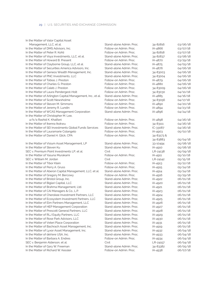| In the Matter of Valor Capital Asset                        |                          |            |          |
|-------------------------------------------------------------|--------------------------|------------|----------|
| Management, LLC, et al.                                     | Stand-alone Admin. Proc. | 34-82816   | 03/06/18 |
| In the Matter of DMS Advisors, Inc.                         | Follow-on Admin, Proc.   | IA-4866    | 03/07/18 |
| In the Matter of Peter R. Kohli                             | Follow-on Admin, Proc.   | 34-82818   | 03/07/18 |
| In the Matter of Voya Investments, LLC, et al.              | Stand-alone Admin. Proc. | 34-82837   | 03/08/18 |
| In the Matter of Howard B. Present                          | Follow-on Admin, Proc.   | IA-4870    | 03/29/18 |
| In the Matter of Clayborne Group, LLC, et al.               | Stand-alone Admin. Proc. | IA-4875    | 04/05/18 |
| In the Matter of Securities America Advisors, Inc.          | Stand-alone Admin. Proc. | IA-4876    | 04/06/18 |
| In the Matter of Geneos Wealth Management, Inc.             | Stand-alone Admin, Proc. | 34-83003   | 04/06/18 |
| In the Matter of PNC Investments, LLC                       | Stand-alone Admin, Proc. | 34-83004   | 04/06/18 |
| In the Matter of Tobias J. Preston                          | Follow-on Admin, Proc.   | IA-4879    | 04/06/18 |
| In the Matter of Charles G. Preston                         | Follow-on Admin, Proc.   | IA-4880    | 04/06/18 |
| In the Matter of Caleb J. Preston                           | Follow-on Admin, Proc.   | 34-83009   | 04/06/18 |
| In the Matter of Laura Pendergest-Holt                      | Follow-on Admin. Proc.   | 34-83030   | 04/10/18 |
| In the Matter of Arlington Capital Management, Inc., et al. | Stand-alone Admin, Proc. | IA-4885    | 04/16/18 |
| In the Matter of Scott Newsholme                            | Follow-on Admin. Proc.   | 34-83056   | 04/17/18 |
| In the Matter of Steven M. Simmons                          | Follow-on Admin. Proc.   | IA-4890    | 04/20/18 |
| In the Matter of Jeremy R. Lundin                           | Follow-on Admin, Proc.   | IA-4894    | 04/23/18 |
| In the Matter of WCAS Management Corporation                | Stand-alone Admin. Proc. | IA-4896    | 04/24/18 |
| In the Matter of Christopher M. Lee,                        |                          |            |          |
| a/k/a Rashid K. Khalfani                                    | Follow-on Admin. Proc.   | IA-4898    | 04/26/18 |
| In the Matter of Ikenna Ikokwu                              | Follow-on Admin, Proc.   | 34-83111   | 04/26/18 |
| In the Matter of SEI Investments Global Funds Services      | Stand-alone Admin, Proc. | IC-33087   | 04/26/18 |
| In the Matter of Lauramarie Colangelo                       | Follow-on Admin, Proc.   | IA-4903    | 05/02/18 |
| In the Matter of Daniel H. Glick, CPA                       | Follow-on Admin, Proc.   | 34-83173 & |          |
|                                                             |                          | 34-83883   | 05/04/18 |
| In the Matter of Visium Asset Management, LP                | Stand-alone Admin, Proc. | 33-10494   | 05/08/18 |
| In the Matter of Steven Ku                                  | Stand-alone Admin. Proc. | IA-4910    | 05/08/18 |
| SEC v. Premium Point Investments LP, et al.                 | Civil                    | LR-24138   | 05/09/18 |
| In the Matter of Yasuna Murakami                            | Follow-on Admin. Proc.   | IA-4911    | 05/10/18 |
| SEC v. William M. Jordan                                    | Civil                    | LR-24142   | 05/15/18 |
| In the Matter of Tibor Klein                                | Follow-on Admin. Proc.   | IA-4913    | 05/22/18 |
| In the Matter of Perry A. Gruss                             | Follow-on Admin, Proc.   | IA-4915    | 05/24/18 |
| In the Matter of Aberon Capital Management, LLC, et al.     | Stand-alone Admin. Proc. | IA-4914    | 05/24/18 |
| In the Matter of Gregory M. Bercowy                         | Follow-on Admin. Proc.   | IA-4916    | 05/29/18 |
| In the Matter of Bristol Group, Inc.                        | Stand-alone Admin, Proc. | IA-4922    | 06/01/18 |
| In the Matter of Biglari Capital, LLC                       | Stand-alone Admin, Proc. | IA-4920    | 06/01/18 |
| In the Matter of Brahma Management, Ltd.                    | Stand-alone Admin, Proc. | IA-4921    | 06/01/18 |
| In the Matter of CAI Managers & Co., L.P.                   | Stand-alone Admin, Proc. | $IA-4923$  | 06/01/18 |
| In the Matter of Cherokee Investment Partners, LLC          | Stand-alone Admin. Proc. | IA-4924    | 06/01/18 |
| In the Matter of Ecosystem Investment Partners, LLC         | Stand-alone Admin. Proc. | IA-4925    | 06/01/18 |
| In the Matter of Elm Partners Management, LLC               | Stand-alone Admin. Proc. | IA-4926    | 06/01/18 |
| In the Matter of HEP Management Corporation                 | Stand-alone Admin. Proc. | IA-4927    | 06/01/18 |
| In the Matter of Prescott General Partners, LLC             | Stand-alone Admin, Proc. | IA-4928    | 06/01/18 |
| In the Matter of RLJ Equity Partners, LLC                   | Stand-alone Admin, Proc. | IA-4929    | 06/01/18 |
| In the Matter of Rose Park Advisors, LLC                    | Stand-alone Admin. Proc. | IA-4930    | 06/01/18 |
| In the Matter of Veteri Place Corporation                   | Stand-alone Admin, Proc. | IA-4931    | 06/01/18 |
| In the Matter of Bachrach Asset Management, Inc.            | Stand-alone Admin. Proc. | IA-4919    | 06/01/18 |
| In the Matter of Lyxor Asset Management, Inc.               | Stand-alone Admin. Proc. | IA-4932    | 06/04/18 |
| In the Matter of deVere USA, Inc.                           | Stand-alone Admin, Proc. | IA-4933    | 06/04/18 |
| In the Matter of Barbara A. Endres                          | Follow-on Admin, Proc.   | IA-4934    | 06/04/18 |
| SEC v. Benjamin Alderson, et al.                            | Civil                    | LR-24157   | 06/04/18 |
| In the Matter of Gary W. Freeman                            | Stand-alone Admin, Proc. | 34-83382   | 06/05/18 |
| In the Matter of Richard W. Kessler                         | Follow-on Admin. Proc.   | IA-4938    | 06/07/18 |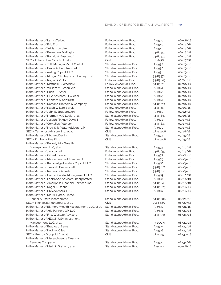| In the Matter of Larry Werbel                            | Follow-on Admin. Proc.   | IA-4939  | 06/08/18 |
|----------------------------------------------------------|--------------------------|----------|----------|
| In the Matter of Eric Erb                                | Follow-on Admin. Proc.   | IA-4940  | 06/13/18 |
| In the Matter of William Jordan                          | Follow-on Admin, Proc.   | IA-4941  | 06/14/18 |
| In the Matter of Bryan Lee Addington                     | Follow-on Admin, Proc.   | 34-83459 | 06/18/18 |
| In the Matter of Ronald A. Fossum, Jr.                   | Follow-on Admin. Proc.   | 34-83434 | 06/19/18 |
| SEC v. Edward Lee Moody, Jr., et al.                     | Civil                    | LR-24184 | 06/27/18 |
| In the Matter of THL Managers V, LLC, et al.             | Stand-alone Admin. Proc. | IA-4952  | 06/29/18 |
| In the Matter of Bruce A. Hauptman, et al.               | Stand-alone Admin. Proc. | IA-4950  | 06/29/18 |
| In the Matter of Aisling Capital, LLC                    | Stand-alone Admin, Proc. | IA-4951  | 06/29/18 |
| In the Matter of Morgan Stanley Smith Barney, LLC        | Stand-alone Admin, Proc. | 34-83571 | 06/29/18 |
| In the Matter of Roger S. Zullo                          | Follow-on Admin. Proc.   | 34-83603 | 07/06/18 |
| In the Matter of Matthew C. Woodard                      | Follow-on Admin, Proc.   | 34-83611 | 07/10/18 |
| In the Matter of William M. Greenfield                   | Stand-alone Admin. Proc. | IA-4961  | 07/10/18 |
| In the Matter of Brian S. Eyster                         | Stand-alone Admin. Proc. | IA-4962  | 07/10/18 |
| In the Matter of HBA Advisors, LLC, et al.               | Stand-alone Admin, Proc. | IA-4963  | 07/10/18 |
| In the Matter of Leonard S. Schwartz                     | Stand-alone Admin. Proc. | IA-4964  | 07/10/18 |
| In the Matter of Romano Brothers & Company               | Stand-alone Admin. Proc. | 34-83613 | 07/10/18 |
| In the Matter of Ralph Willard Savoie                    | Follow-on Admin, Proc.   | 34-83615 | 07/10/18 |
| In the Matter of John B. Engebretson                     | Follow-on Admin, Proc.   | IA-4967  | 07/12/18 |
| In the Matter of Norman M.K. Louie, et al.               | Stand-alone Admin. Proc. | 34-83637 | 07/16/18 |
| In the Matter of Joseph Pinkney Davis, III               | Follow-on Admin, Proc.   | IA-4972  | 07/17/18 |
| In the Matter of Cornelius Peterson                      | Follow-on Admin, Proc.   | 34-83649 | 07/17/18 |
| In the Matter of New Silk Route Advisors, L.P.           | Stand-alone Admin, Proc. | IA-4970  | 07/17/18 |
| SEC v. Temenos Advisory, Inc., et al.                    | Civil                    | LR-24206 | 07/18/18 |
| In the Matter of Michael Devlin                          | Stand-alone Admin. Proc. | IA-4973  | 07/19/18 |
| SEC v. Kimberly Pine Kitts                               | Civil                    | LR-24208 | 07/19/18 |
| In the Matter of Beverly Hills Wealth                    |                          |          |          |
| Management, LLC, et al.                                  | Stand-alone Admin. Proc. | IA-4975  | 07/20/18 |
| In the Matter of Jack Jarrell                            | Follow-on Admin. Proc.   | 34-83697 | 07/24/18 |
| In the Matter of Gilbert Fluetsch                        | Follow-on Admin, Proc.   | IA-4977  | 08/02/18 |
| In the Matter of Melvin Leonard Wimmer, Jr.              | Follow-on Admin, Proc.   | IA-4979  | 08/09/18 |
| In the Matter of Knowledge Leaders Capital, LLC          | Stand-alone Admin. Proc. | IA-4980  | 08/09/18 |
| In the Matter of Jinesh P. Brahmbhatt                    | Stand-alone Admin. Proc. | 34-83817 | 08/09/18 |
| In the Matter of Ramnik S. Aulakh                        | Stand-alone Admin. Proc. | 34-83816 | 08/09/18 |
| In the Matter of Hamlin Capital Management, LLC          | Stand-alone Admin. Proc. | IA-4983  | 08/10/18 |
| In the Matter of Lockwood Advisors, Incorporated         | Stand-alone Admin. Proc. | IA-4984  | 08/14/18 |
| In the Matter of Ameriprise Financial Services, Inc.     | Stand-alone Admin. Proc. | 34-83848 | 08/15/18 |
| In the Matter of Roger T. Denha                          | Stand-alone Admin. Proc. | 34-83873 | 08/17/18 |
| In the Matter of BKS Advisors, LLC                       | Stand-alone Admin, Proc. |          | 08/17/18 |
|                                                          |                          | IA-4987  |          |
| In the Matter of Merrill Lynch, Pierce,                  | Stand-alone Admin, Proc. |          | 08/20/18 |
| Fenner & Smith Incorporated                              |                          | 34-83886 |          |
| SEC v. Michael B. Rothenberg, et al.                     | Civil                    | 2018-160 | 08/20/18 |
| In the Matter of Biltmore Wealth Management, LLC, et al. | Stand-alone Admin. Proc. | IA-4990  | 08/21/18 |
| In the Matter of Aria Partners GP, LLC                   | Stand-alone Admin, Proc. | IA-4991  | 08/22/18 |
| In the Matter of First Western Advisors                  | Stand-alone Admin. Proc. | 34-83934 | 08/24/18 |
| In the Matter of AEGON USA Investment                    |                          |          |          |
| Management, LLC, et al.                                  | Stand-alone Admin. Proc. | 33-10539 | 08/27/18 |
| In the Matter of Bradley J. Beman                        | Stand-alone Admin. Proc. | IA-4997  | 08/27/18 |
| In the Matter of Kevin A. Giles                          | Stand-alone Admin. Proc. | IA-4998  | 08/27/18 |
| SEC v. Grenda Group, LLC, et al.                         | Civil                    | LR-24253 | 08/30/18 |
| In the Matter of Massachusetts Financial                 |                          |          |          |
| Services Company                                         | Stand-alone Admin. Proc. | IA-4999  | 08/31/18 |
| In the Matter of Mark R. Graham, et al.                  | Stand-alone Admin. Proc. | IA-5000  | 09/06/18 |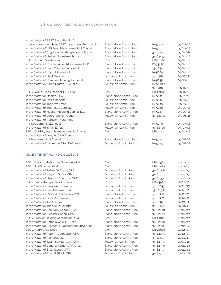| In the Matter of BB&T Securities, LLC. |
|----------------------------------------|
|----------------------------------------|

| as successor entity to BB&T Investment Services, Inc. | Stand-alone Admin, Proc. | IA-5002      | 09/07/18 |
|-------------------------------------------------------|--------------------------|--------------|----------|
| In the Matter of VSS Fund Management, LLC, et al.     | Stand-alone Admin, Proc. | IA-5001      | 09/07/18 |
| In the Matter of Crypto Asset Mangement, LP, et al.   | Stand-alone Admin, Proc. | 33-10544     | 09/11/18 |
| In the Matter of Harbour Investments, Inc.            | Stand-alone Admin, Proc. | 34-84115     | 09/13/18 |
| SEC v. Tamara Steele, et al.                          | Civil                    | LR-24276     | 09/14/18 |
| In the Matter of Cushing Asset Management, LP         | Stand-alone Admin, Proc. | $IC - 33226$ | 09/14/18 |
| In the Matter of Cecil Gregory Earls, et al.          | Stand-alone Admin, Proc. | 33-10546     | 09/14/18 |
| In the Matter of Capital Analysts, LLC                | Stand-alone Admin, Proc. | IA-5009      | 09/14/18 |
| In the Matter of Heidi Wivolin                        | Follow-on Admin, Proc.   | 34-84164     | 09/17/18 |
| In the Matter of Creative Planning, Inc., et al.      | Stand-alone Admin, Proc. | IA-5035      | 09/18/18 |
| In the Matter of Karen Bruton, CPA, et al.            | Follow-on Admin, Proc.   | IA-5038 &    |          |
|                                                       |                          | 34-84198     | 09/19/18 |
| SEC v. World Tree Financial, LLC, et al.              | Civil                    | LR-24278     | 09/19/18 |
| In the Matter of Ophrys, LLC                          | Stand-alone Admin, Proc. | IA-5041      | 09/21/18 |
| In the Matter of Dawn Roberts                         | Follow-on Admin, Proc.   | IA-5044      | 09/25/18 |
| In the Matter of Todd Wortman                         | Follow-on Admin, Proc.   | IA-5045      | 09/25/18 |
| In the Matter of Thomas J. Caufield                   | Follow-on Admin, Proc.   | IA-5046      | 09/25/18 |
| In the Matter of Hudson Housing Capital, LLC          | Stand-alone Admin, Proc. | IA-5047      | 09/25/18 |
| In the Matter of Leroy "Lee" K. Young                 | Follow-on Admin, Proc.   | 34-84292     | 09/26/18 |
| In the Matter of Putnam Investment                    |                          |              |          |
| Management, LLC, et al.                               | Stand-alone Admin, Proc. | IA-5050      | 09/27/18 |
| In the Matter of Ismail Elmas                         | Follow-on Admin, Proc.   | 34-84300     | 09/27/18 |
| SEC v. Goldsky Asset Management, LLC, et al.          | Civil                    | LR-24291     | 09/27/18 |
| In the Matter of LendingClub Asset                    |                          |              |          |
| Management, LLC, et al.                               | Stand-alone Admin, Proc. | IA-5054      | 09/28/18 |
| In the Matter of Lawrence Allen DeShetler             | Follow-on Admin, Proc.   | IA-5053      | 09/28/18 |
|                                                       |                          |              |          |

### ISSUER REPORTING AND DISCLOSURE

j

| SEC v. Gerardo de Nicolas Gutierrez, et al.         | Civil                    | LR-23964 | 10/11/17 |
|-----------------------------------------------------|--------------------------|----------|----------|
| SEC v. Rio Tinto plc, et al.                        | Civil                    | LR-24085 | 10/17/17 |
| In the Matter of Jeffrey W. Tomz, CPA               | Follow-on Admin, Proc.   | 34-81908 | 10/19/17 |
| In the Matter of Mayank Gupta, CPA                  | Follow-on Admin, Proc.   | 34-81911 | 10/19/17 |
| In the Matter of Harold J. Swart, Jr., CPA          | Follow-on Admin, Proc.   | 34-81954 | 10/26/17 |
| SEC v. Osiris Therapeutics, Inc., et al.            | Civil                    | LR-23978 | 11/02/17 |
| In the Matter of Stephen D. Ferrone                 | Follow-on Admin, Proc.   | 34-82033 | 11/08/17 |
| In the Matter of Paul Behrens. CPA                  | Follow-on Admin, Proc.   | 33-10437 | 11/14/17 |
| In the Matter of Michael C. Sabatino, CPA           | Stand-alone Admin, Proc. | 34-82110 | 11/17/17 |
| In the Matter of David N. Fuselier                  | Follow-on Admin, Proc.   | 34-82117 | 11/20/17 |
| In the Matter of Jon L. Frank                       | Stand-alone Admin. Proc. | 34-82154 | 11/27/17 |
| In the Matter of Thaddeus Bereday                   | Follow-on Admin, Proc.   | 33-10441 | 11/30/17 |
| In the Matter of Rahuldev Gandhi, CPA               | Stand-alone Admin, Proc. | 34-82208 | 12/04/17 |
| In the Matter of Richard J. Koch, CPA               | Stand-alone Admin, Proc. | 34-82207 | 12/04/17 |
| SEC v. Premier Holding Corporation, et al.          | Civil                    | LR-24000 | 12/04/17 |
| In the Matter of Anton & Chia, LLP, et al.          | Stand-alone Admin, Proc. | 34-82206 | 12/04/17 |
| In the Matter of Provectus Biopharmaceuticals, Inc. | Stand-alone Admin. Proc. | 34-82292 | 12/12/17 |
| <b>SEC v. Harry Craig Dees</b>                      | Civil                    | LR-24008 | 12/12/17 |
| In the Matter of Peter R. Culpepper, CPA            | Stand-alone Admin. Proc. | 34-82293 | 12/12/17 |
| In the Matter of Alan Shortall                      | Stand-alone Admin. Proc. | 33-10449 | 12/22/17 |
| In the Matter of Justin Samuel Cary, CPA            | Follow-on Admin, Proc.   | 34-82554 | 01/19/18 |
| In the Matter of Cynthia Holder, CPA, et al.        | Stand-alone Admin. Proc. | 34-82556 | 01/22/18 |
| In the Matter of Brian Sweet, CPA                   | Stand-alone Admin, Proc. | 34-82557 | 01/22/18 |
|                                                     |                          |          |          |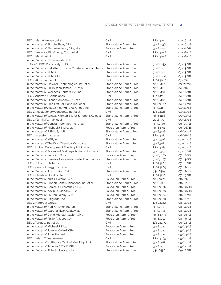| SEC v. Alan Weinberg, et al.                                | Civil                    | LR-24051 | 02/16/18 |
|-------------------------------------------------------------|--------------------------|----------|----------|
| In the Matter of Simcha Baer, CPA                           | Stand-alone Admin, Proc. | 34-82736 | 02/16/18 |
| In the Matter of Alan Weinberg, CPA, et al.                 | Follow-on Admin. Proc.   | 34-82744 | 02/21/18 |
| SEC v. Analytica Bio-Energy Corp., et al.                   | Civil                    | LR-24058 | 02/28/18 |
| <b>SEC v. Marvin Winick</b>                                 | Civil                    | LR-24058 | 02/28/18 |
| In the Matter of BDO Canada, LLP                            |                          |          |          |
| (f/k/a BDO Dunwoody, LLP)                                   | Stand-alone Admin. Proc. | 34-82859 | 03/13/18 |
| In the Matter of Deloitte & Touche Chartered Accountants    | Stand-alone Admin, Proc. | 34-82861 | 03/13/18 |
| In the Matter of KPMG                                       | Stand-alone Admin. Proc. | 34-82862 | 03/13/18 |
| In the Matter of KPMG, Inc.                                 | Stand-alone Admin. Proc. | 34-82860 | 03/13/18 |
| SEC v. Akorn. Inc., et al.                                  | Civil                    | LR-24082 | 03/26/18 |
| In the Matter of Maxwell Technologies, Inc., et al.         | Stand-alone Admin. Proc. | 33-10472 | 03/27/18 |
| In the Matter of Philip John James, CA, et al.              | Stand-alone Admin, Proc. | 33-10478 | 04/09/18 |
| In the Matter of Wellness Center USA, Inc.                  | Stand-alone Admin. Proc. | 33-10481 | 04/12/18 |
| SEC v. Andrew J. Kandelapas                                 | Civil                    | LR-24111 | 04/12/18 |
| In the Matter of Li and Company, PC, et al.                 | Stand-alone Admin. Proc. | 33-10482 | 04/12/18 |
| In the Matter of Medifirst Solutions, Inc., et al.          | Stand-alone Admin. Proc. | 34-83067 | 04/19/18 |
| In the Matter of Altaba Inc., f/d/b/a Yahoo!, Inc.          | Stand-alone Admin. Proc. | 33-10485 | 04/24/18 |
| SEC v. Revolutionary Concepts, Inc., et al.                 | Civil                    | LR-24126 | 04/27/18 |
| In the Matter of Winter, Kloman, Moter & Repp, S.C., et al. | Stand-alone Admin. Proc. | 34-83168 | 05/04/18 |
| SEC v. Parmjit Parmar, et al.                               | Civil                    | 2018-90  | 05/16/18 |
| In the Matter of Constant Contact. Inc., et al.             | Stand-alone Admin, Proc. | 33-10504 | 06/05/18 |
| In the Matter of Michael J. Mona, Jr.                       | Follow-on Admin. Proc.   | 34-83391 | 06/06/18 |
| In the Matter of RSM US, LLP                                | Stand-alone Admin. Proc. | 34-83428 | 06/14/18 |
| SEC v. Axesstel, Inc., et al.                               | Civil                    | LR-24181 | 06/28/18 |
| In the Matter of KBR, Inc.                                  | Stand-alone Admin. Proc. | 33-10516 | 07/02/18 |
| In the Matter of The Dow Chemical Company                   | Stand-alone Admin. Proc. | 34-83581 | 07/02/18 |
| SEC v. United Development Funding III, LP, et al.           | Civil                    | LR-24185 | 07/03/18 |
| In the Matter of Advanced Drainage Systems, Inc., et al.    | Stand-alone Admin. Proc. | 33-10517 | 07/10/18 |
| In the Matter of Patrick J. Gray                            | Follow-on Admin. Proc.   | 34-83620 | 07/12/18 |
| In the Matter of Genesis Associates Limited Partnership     | Stand-alone Admin. Proc. | 34-83627 | 07/13/18 |
| SEC v. John D. Schiller, Jr.                                | Civil                    | LR-24202 | 07/16/18 |
| SEC v. Centor Energy, Inc., et al.                          | Civil                    | LR-24209 | 07/17/18 |
| In the Matter of Jay C. Lake, CPA                           | Stand-alone Admin. Proc. | 33-10519 | 07/17/18 |
| SEC v. Bhushan Dandawate                                    | Civil                    | LR-24210 | 07/19/18 |
| In the Matter of Kurt J. Bordian, CPA                       | Follow-on Admin. Proc.   | 34-83772 | 08/03/18 |
| In the Matter of Ribbon Communications, Inc., et al.        | Stand-alone Admin. Proc. | 33-10528 | 08/07/18 |
| In the Matter of Daniel M. Fitzpatrick, CPA                 | Follow-on Admin. Proc.   | 34-83806 | 08/08/18 |
| In the Matter of Kevin M. Modany, CPA                       | Follow-on Admin, Proc.   | 34-83805 | 08/08/18 |
| In the Matter of Lauren Zarsky, CPA                         | Follow-on Admin. Proc.   | 34-83854 | 08/15/18 |
| In the Matter of Citigroup, Inc.                            | Stand-alone Admin. Proc. | 34-83858 | 08/16/18 |
| SEC v. Harpreet Grewal                                      | Civil                    | LR-24242 | 08/21/18 |
| In the Matter of Hari K. Ravichandran                       | Stand-alone Admin, Proc. | 33-10533 | 08/21/18 |
| In the Matter of Waruna Tivanka Ellawala                    | Stand-alone Admin. Proc. | 33-10534 | 08/21/18 |
| In the Matter of David Michael Naylor, CPA                  | Follow-on Admin. Proc.   | 34-83993 | 08/29/18 |
| In the Matter of Philip R. Jacoby, Jr.                      | Follow-on Admin. Proc.   | 34-84010 | 08/30/18 |
| SEC v. Tangoe, Inc., et al.                                 | Civil                    | LR-24255 | 09/04/18 |
| In the Matter of Michael J. Kipp                            | Follow-on Admin. Proc.   | 34-84022 | 09/04/18 |
| In the Matter of Joanne K. Viard, CPA                       | Follow-on Admin, Proc.   | 34-84023 | 09/04/18 |
| In the Matter of John Pierrard                              | Follow-on Admin, Proc.   | 34-84024 | 09/04/18 |
| SEC v. Adam C. Wasserman                                    | Civil                    | LR-24265 | 09/12/18 |
| In the Matter of Holthouse Carlin & Van Trigt, LLP          | Stand-alone Admin, Proc. | 34-84118 | 09/13/18 |
| In the Matter of Jennifer F. Wolf, CPA                      | Follow-on Admin. Proc.   | 34-84131 | 09/14/18 |
| In the Matter of Abtech Holdings, Inc.                      | Stand-alone Admin. Proc. | 33-10550 | 09/17/18 |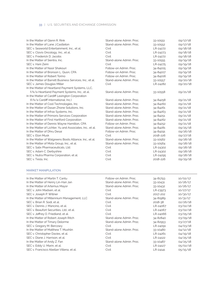| In the Matter of Glenn R. Rink                            | Stand-alone Admin, Proc. | 33-10551 | 09/17/18 |
|-----------------------------------------------------------|--------------------------|----------|----------|
| In the Matter of Lane J.Castleton                         | Stand-alone Admin. Proc. | 33-10552 | 09/17/18 |
| SEC v. Seaworld Entertainment, Inc., et al.               | Civil                    | LR-24272 | 09/18/18 |
| SEC v. Clovis Oncology, Inc., et al.                      | Civil                    | LR-24273 | 09/18/18 |
| SEC v. Frederick D. Jacobs                                | Civil                    | LR-24272 | 09/18/18 |
| In the Matter of Sientra, Inc.                            | Stand-alone Admin. Proc. | 33-10555 | 09/19/18 |
| SEC v. Hani Zeini                                         | Civil                    | LR-24275 | 09/19/18 |
| In the Matter of Nasir Shakouri                           | Follow-on Admin, Proc.   | 34-84205 | 09/19/18 |
| In the Matter of Bronson L. Quon. CPA                     | Follow-on Admin, Proc.   | 34-84207 | 09/19/18 |
| In the Matter of Robert Torino                            | Follow-on Admin, Proc.   | 34-84206 | 09/19/18 |
| In the Matter of Barrett Business Services, Inc., et al.  | Stand-alone Admin, Proc. | 33-10557 | 09/20/18 |
| SEC v. James Douglas Miller                               | Civil                    | LR-24282 | 09/20/18 |
| In the Matter of Heartland Payment Systems, LLC,          |                          |          |          |
| f/k/a Heartland Payment Systems, Inc., et al.             | Stand-alone Admin, Proc. | 33-10558 | 09/21/18 |
| In the Matter of Cardiff Lexington Corporation            |                          |          |          |
| (f/k/a Cardiff International, Inc.)                       | Stand-alone Admin, Proc. | 34-84258 | 09/21/18 |
| In the Matter of Cool Technologies, Inc.                  | Stand-alone Admin, Proc. | 34-84260 | 09/21/18 |
| In the Matter of Dasan Zhone Solutions, Inc.              | Stand-alone Admin, Proc. | 34-84261 | 09/21/18 |
| In the Matter of Infrax Systems, Inc.                     | Stand-alone Admin, Proc. | 34-84263 | 09/21/18 |
| In the Matter of Primoris Services Corporation            | Stand-alone Admin. Proc. | 34-84251 | 09/21/18 |
| In the Matter of First Hartford Corporation               | Stand-alone Admin, Proc. | 34-84262 | 09/21/18 |
| In the Matter of Dennis Wayne Hamilton, CPA               | Follow-on Admin, Proc.   | 34-84252 | 09/21/18 |
| In the Matter of Lichter, Yu and Associates, Inc., et al. | Stand-alone Admin, Proc. | 34-84281 | 09/25/18 |
| In the Matter of Dhru Desai                               | Follow-on Admin, Proc.   | 34-84291 | 09/26/18 |
| SEC v. Elon Musk                                          | Civil                    | 2018-226 | 09/27/18 |
| In the Matter of Walgreens Boots Alliance, Inc., et al.   | Stand-alone Admin. Proc. | 33-10562 | 09/28/18 |
| In the Matter of Mota Group, Inc., et al.                 | Stand-alone Admin, Proc. | 33-10564 | 09/28/18 |
| SEC v. Salix Pharmaceuticals, Ltd.                        | Civil                    | LR-24302 | 09/28/18 |
| SEC v. Adam C. Derbyshire                                 | Civil                    | LR-24302 | 09/28/18 |
| SEC v. Nutra Pharma Corporation, et al.                   | Civil                    | LR-24295 | 09/28/18 |
| SEC v. Tesla, Inc.                                        | Civil                    | 2018-226 | 09/29/18 |

### MARKET MANIPULATION

j

| In the Matter of Martin T. Cantu            | Follow-on Admin, Proc.   | 34-81793 | 10/02/17 |
|---------------------------------------------|--------------------------|----------|----------|
|                                             |                          |          |          |
| In the Matter of Henry Lin-Han Jan          | Stand-alone Admin, Proc. | 33-10431 | 10/26/17 |
| In the Matter of Artemus Mayor              | Stand-alone Admin, Proc. | 33-10432 | 10/26/17 |
| SEC v. John Madsen, et al.                  | Civil                    | LR-23973 | 10/27/17 |
| SEC v. Joseph P. Willner                    | Civil                    | 2017-202 | 10/30/17 |
| In the Matter of Millennium Management, LLC | Stand-alone Admin, Proc. | 34-81989 | 10/31/17 |
| SEC v. Brian R. Sodi, et al.                | Civil                    | 2018-38  | 02/26/18 |
| SEC v. Dennis J. Mancino, et al.            | Civil                    | LR-24067 | 03/02/18 |
| SEC v. Beaufort Securities. Ltd., et al.    | Civil                    | LR-24067 | 03/02/18 |
| SEC v. Jeffrey O. Friedland, et al.         | Civil                    | LR-24066 | 03/05/18 |
| In the Matter of Robert Joseph Ritch        | Stand-alone Admin, Proc. | 34-82840 | 03/09/18 |
| In the Matter of Timary Delorme             | Stand-alone Admin, Proc. | 34-82953 | 03/27/18 |
| SEC v. Gregory M. Bercowy                   | Civil                    | LR-24091 | 04/03/18 |
| In the Matter of Matthew T. Mushlin         | Stand-alone Admin, Proc. | 33-10480 | 04/12/18 |
| SEC v. Christopher Davies, et al.           | Civil                    | LR-24261 | 04/19/18 |
| SEC v. Diane J. Harrison, et al.            | Civil                    | LR-24122 | 04/25/18 |
| In the Matter of Andy Z. Fan                | Stand-alone Admin, Proc. | 33-10487 | 04/25/18 |
| SEC v. Eddy U. Marin, et al.                | Civil                    | LR-24127 | 05/02/18 |
| SEC v. Francisco Abellan Villena, et al.    | Civil                    | LR-24141 | 05/15/18 |
|                                             |                          |          |          |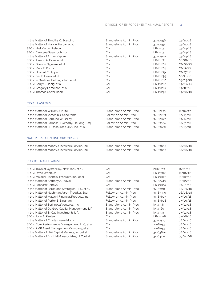#### DIVISION OF ENFORCEMENT ANNUAL REPORT | 34

| In the Matter of Timothy C. Scarpino                 | Stand-alone Admin. Proc. | 33-10496 | 05/15/18 |
|------------------------------------------------------|--------------------------|----------|----------|
| In the Matter of Mark A. Karow, et al.               | Stand-alone Admin. Proc. | 33-10495 | 05/15/18 |
| SEC v. Niel Martin Nielson                           | Civil                    | LR-24151 | 05/24/18 |
| SEC v. Carolyne Susan Johnson                        | Civil                    | LR-24151 | 05/24/18 |
| In the Matter of Arthur Kaplan                       | Stand-alone Admin. Proc. | 33-10500 | 05/24/18 |
| SEC v. Joseph A. Fiore, et al.                       | Civil                    | LR-24171 | 06/18/18 |
| SEC v. Gannon Giguiere, et al.                       | Civil                    | LR-24201 | 07/06/18 |
| SEC v. Mark E. Burns                                 | Civil                    | LR-24204 | 07/11/18 |
| SEC v. Howard M. Appel                               | Civil                    | LR-24219 | 07/27/18 |
| SEC v. Eric P. Lesak, et al.                         | Civil                    | LR-24239 | 08/21/18 |
| SEC v. In Ovations Holdings, Inc., et al.            | Civil                    | LR-24260 | 09/05/18 |
| SEC v. Barry C. Honig, et al.                        | Civil                    | LR-24262 | 09/07/18 |
| SEC v. Gregory Lemelson, et al.                      | Civil                    | LR-24267 | 09/12/18 |
| SEC v. Thomas Carter Ronk                            | Civil                    | LR-24297 | 09/28/18 |
|                                                      |                          |          |          |
| <b>MISCELLANEOUS</b>                                 |                          |          |          |
| In the Matter of William J. Pulte                    | Stand-alone Admin, Proc. | 34-82233 | 12/07/17 |
| In the Matter of James R.J. Scheltema                | Follow-on Admin. Proc.   | 34-82703 | 02/13/18 |
| In the Matter of Edmund W. Bailey                    | Stand-alone Admin. Proc. | 34-82877 | 03/14/18 |
| In the Matter of Earnest H. (Woody) DeLong, Esq.     | Follow-on Admin, Proc.   | 34-83354 | 05/31/18 |
| In the Matter of FP Resources USA, Inc., et al.      | Stand-alone Admin, Proc. | 34-83626 | 07/13/18 |
| NATL REC STAT RATING ORG (NRSRO)                     |                          |          |          |
| In the Matter of Moody's Investors Service, Inc.     | Stand-alone Admin, Proc. | 34-83965 | 08/28/18 |
| In the Matter of Moody's Investors Service, Inc.     | Stand-alone Admin. Proc. | 34-83966 | 08/28/18 |
| PUBLIC FINANCE ABUSE                                 |                          |          |          |
| SEC v. Town of Oyster Bay, New York, et al.          | Civil                    | 2017-213 | 11/21/17 |
| SEC v. David Webb, Jr.                               | Civil                    | LR-23998 | 12/01/17 |
| SEC v. Malachi Financial Products, Inc., et al.      | Civil                    | LR-24025 | 01/02/18 |
| In the Matter of Anthony A. Stovall                  | Stand-alone Admin. Proc. | 34-82443 | 01/05/18 |
| SEC v. Leonard Genova                                | Civil                    | LR-24059 | 03/01/18 |
| In the Matter of Barcelona Strategies, LLC, et al.   | Stand-alone Admin, Proc. | 34-83191 | 05/09/18 |
| In the Matter of Nachman Aaron Troodler, Esq.        | Follow-on Admin, Proc.   | 34-83399 | 06/08/18 |
| In the Matter of Malachi Financial Products, Inc.    | Follow-on Admin. Proc.   | 34-83607 | 07/09/18 |
| In the Matter of Porter B. Bingham                   | Follow-on Admin. Proc.   | 34-83608 | 07/09/18 |
| In the Matter of Sofinnova Ventures, Inc.            | Stand-alone Admin. Proc. | IA-4958  | 07/10/18 |
| In the Matter of Oaktree Capital Management, L.P.    | Stand-alone Admin. Proc. | IA-4960  | 07/10/18 |
| In the Matter of EnCap Investments L.P.              | Stand-alone Admin, Proc. | IA-4959  | 07/10/18 |
| SEC v. John A. Paulsen                               | Civil                    | LR-24218 | 07/26/18 |
| In the Matter of Charles Kerry Morris                | Stand-alone Admin. Proc. | 33-10529 | 08/14/18 |
| SEC v. Core Performance Management, LLC, et al.      | Civil                    | 2018-153 | 08/14/18 |
| SEC v. RMR Asset Management Company, et al.          | Civil                    | 2018-153 | 08/14/18 |
| In the Matter of NW Capital Markets, Inc., et al.    | Stand-alone Admin. Proc. | 34-83840 | 08/14/18 |
| In the Matter of Eric Hall & Associates, LLC, et al. | Stand-alone Admin. Proc. | 34-84224 | 09/20/18 |
|                                                      |                          |          |          |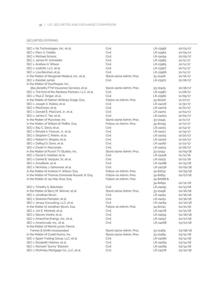### SECURITIES OFFERING

| SEC v. N1 Technologies, Inc., et al.                | Civil                    | LR-23958   | 10/03/17 |
|-----------------------------------------------------|--------------------------|------------|----------|
| SEC v. Marc A. Celello                              | Civil                    | LR-23962   | 10/05/17 |
| SEC v. Michael Scronic                              | Civil                    | LR-24094   | 10/05/17 |
| SEC v. James M. Schneider                           | Civil                    | LR-23965   | 10/11/17 |
| SEC v. Andrew H. Wilson                             | Civil                    | LR-23965   | 10/11/17 |
| SEC v. JustInfo. LLC. et al.                        | Civil                    | LR-23967   | 10/11/17 |
| SEC v. Lisa Bershan, et al.                         | Civil                    | LR-23966   | 10/11/17 |
| In the Matter of Mergenet Medical, Inc., et al.     | Stand-alone Admin. Proc. | 33-10426   | 10/16/17 |
| SEC v. Randall James                                | Civil                    | LR-23972   | 10/26/17 |
| In the Matter of YourPeople, Inc.,                  |                          |            |          |
| dba Zenefits FTW Insurance Services, et al.         | Stand-alone Admin. Proc. | 33-10429   | 10/26/17 |
| SEC v. The End of the Rainbow Partners, LLC, et al. | Civil                    | LR-23987   | 11/08/17 |
| SEC v. Paul Z. Singer, et al.                       | Civil                    | LR-23982   | 11/09/17 |
| In the Matter of Nathan Whitney Drage, Esq.         | Follow-on Admin, Proc.   | 34-82106   | 11/17/17 |
| SEC v. Joseph A. Rubbo, et al.                      | Civil                    | LR-24026   | 11/30/17 |
| SEC v. PlexCorps, et al.                            | Civil                    | LR-24079   | 12/01/17 |
| SEC v. Donald E. MacCord, Jr., et al.               | Civil                    | LR-24001   | 12/04/17 |
| SEC v. James C. Tao, et al.                         | Civil                    | LR-24003   | 12/05/17 |
| In the Matter of Munchee, Inc.                      | Stand-alone Admin, Proc. | 33-10445   | 12/11/17 |
| In the Matter of William B. Peiffer, Esg.           | Follow-on Admin, Proc.   | 34-82294   | 12/12/17 |
| SEC v. Ray C. Davis, et al.                         | Civil                    | LR-24013   | 12/14/17 |
| SEC v. Ronald A. Fossum, Jr., et al.                | Civil                    | LR-24017   | 12/19/17 |
| SEC v. Stephen C. Peters, et al.                    | Civil                    | LR-24019   | 12/20/17 |
| SEC v. Robert H. Shapiro, et al.                    | Civil                    | LR-24020   | 12/20/17 |
| SEC v. DaRayl D. Davis, et al.                      | Civil                    | LR-24087   | 12/22/17 |
| SEC v. Owen H. Naccarato                            | Civil                    | LR-24024   | 12/26/17 |
| In the Matter of Punch TV Studios, Inc.             | Stand-alone Admin, Proc. | 33-10452   | 01/09/18 |
| SEC v. David S. Haddad, et al.                      | Civil                    | LR-24028   | 01/11/18 |
| SEC v. Daniel B. Vazquez, Sr., et al.               | Civil                    | LR-24031   | 01/12/18 |
| SEC v. AriseBank, et al.                            | Civil                    | LR-24088   | 01/25/18 |
| SEC v. Nicholas J. Genovese, et al.                 | Civil                    | LR-24038   | 02/02/18 |
| In the Matter of Andrew H. Wilson, Esq.             | Follow-on Admin. Proc.   | 34-82632   | 02/05/18 |
| In the Matter of Thomas Osmonde Russell, III, Esq.  | Follow-on Admin, Proc.   | 34-82651   | 02/07/18 |
| In the Matter of Jay Mac Rust, Esq.                 | Follow-on Admin, Proc.   | 34-82688 & |          |
|                                                     |                          | 34-82691   | 02/12/18 |
| SEC v. Timothy S. Batchelor                         | Civil                    | LR-24045   | 02/13/18 |
| In the Matter of Barry M. Skinner, et al.           | Stand-alone Admin, Proc. | 33-10458   | 02/16/18 |
| SEC v. Jonathan Strum                               | Civil                    | LR-24051   | 02/16/18 |
| SEC v. Sharone Perlstein, et al.                    | Civil                    | LR-24051   | 02/16/18 |
| SEC v. Jersey Consulting, LLC, et al.               | Civil                    | LR-24064   | 02/20/18 |
| In the Matter of Jonathan Strum, Esq.               | Follow-on Admin. Proc.   | 34-82743   | 02/21/18 |
| SEC v. Jon E. Montroll, et al.                      | Civil                    | LR-24078   | 02/21/18 |
| SEC v. Steven Ventre, et al.                        | Civil                    | LR-24055   | 02/26/18 |
| SEC v. AmeraTex Energy, Inc., et al.                | Civil                    | LR-24057   | 02/27/18 |
| SEC v. Americrude, Inc., et al.                     | Civil                    | LR-24068   | 03/07/18 |
| In the Matter of Merrill Lynch, Pierce,             |                          |            |          |
| Fenner & Smith Incorporated                         | Stand-alone Admin. Proc. | 33-10465   | 03/08/18 |
| In the Matter of Credit Karma, Inc.                 | Stand-alone Admin. Proc. | 33-10469   | 03/12/18 |
| SEC v. Spark Trading Group, LLC, et al.             | Civil                    | LR-24080   | 03/12/18 |
| SEC v. Elizabeth Holmes, et al.                     | Civil                    | LR-24069   | 03/14/18 |
| SEC v. Ramesh "Sunny" Balwani                       | Civil                    | LR-24069   | 03/14/18 |
| SEC v. McKinley Mortgage Co., LLC, et al.           | Civil                    | LR-24076   | 03/22/18 |
|                                                     |                          |            |          |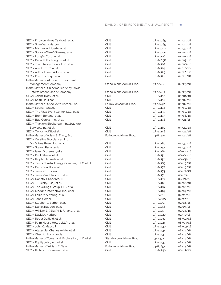#### DIVISION OF ENFORCEMENT ANNUAL REPORT | 36

| SEC v. Kirbyjon Hines Caldwell, et al.             | Civil                    | LR-24089 | 03/29/18 |
|----------------------------------------------------|--------------------------|----------|----------|
| SEC v. Shae Yatta Harper                           | Civil                    | LR-24089 | 03/29/18 |
| SEC v. Michael A. Liberty, et al.                  | Civil                    | LR-24092 | 03/30/18 |
| SEC v. Sohrab ("Sam") Sharma, et al.               | Civil                    | LR-24090 | 04/02/18 |
| SEC v. Longfin Corp., et al.                       | Civil                    | LR-24106 | 04/04/18 |
| SEC v. Peter H. Pocklington, et al.                | Civil                    | LR-24098 | 04/05/18 |
| SEC v. The Lifepay Group, LLC, et al.              | Civil                    | LR-24107 | 04/06/18 |
| SEC v. Amrit J. S. Chahal                          | Civil                    | LR-24114 | 04/12/18 |
| SEC v. Arthur Lamar Adams, et al.                  | Civil                    | LR-24129 | 04/20/18 |
| SEC v. PixarBio Corp., et al.                      | Civil                    | LR-24121 | 04/24/18 |
| In the Matter of AF Ocean Investment               |                          |          |          |
| Management Company                                 | Stand-alone Admin. Proc. | 33-10488 | 04/25/18 |
| In the Matter of ChinAmerica Andy Movie            |                          |          |          |
| Entertainment Media Company                        | Stand-alone Admin. Proc. | 33-10489 | 04/25/18 |
| SEC v. Adam Tracy, et al.                          | Civil                    | LR-24132 | 05/01/18 |
| SEC v. Keith Houlihan                              | Civil                    | LR-24137 | 05/04/18 |
| In the Matter of Shae Yatta Harper, Esq.           | Follow-on Admin. Proc.   | 33-10492 | 05/04/18 |
| SEC v. Keenan Gracey                               | Civil                    | LR-24144 | 05/10/18 |
| SEC v. The Falls Event Center, LLC, et al.         | Civil                    | LR-24139 | 05/10/18 |
| SEC v. Brent Borland, et al.                       | Civil                    | LR-24147 | 05/16/18 |
| SEC v. Bud Genius, Inc., et al.                    | Civil                    | LR-24148 | 05/21/18 |
| SEC v. Titanium Blockchain Infrastructure          |                          |          |          |
| Services, Inc., et al.                             | Civil                    | LR-24160 | 05/22/18 |
| SEC v. Taylor Moffitt, et al.                      | Civil                    | LR-24148 | 05/22/18 |
| In the Matter of Adam S. Tracy, Esq.               | Follow-on Admin. Proc.   | 34-83304 | 05/23/18 |
| SEC v. Curative Biosciences, Inc.                  |                          |          |          |
| f/k/a Healthient, Inc., et al.                     | Civil                    | LR-24180 | 05/30/18 |
| SEC v. Steven Pagartanis                           | Civil                    | LR-24152 | 05/30/18 |
| SEC v. Isaac Grossman, et al.                      | Civil                    | LR-24162 | 06/04/18 |
| SEC v. Paul Gilman, et al.                         | Civil                    | LR-24156 | 06/04/18 |
| SEC v. Ralph T. Iannelli, et al.                   | Civil                    | LR-24158 | 06/05/18 |
| SEC v. Texas Coastal Energy Company, LLC, et al.   | Civil                    | LR-24169 | 06/19/18 |
| SEC v. Perry Santillo, et al.                      | Civil                    | LR-24172 | 06/19/18 |
| SEC v. James E. Hocker                             | Civil                    | LR-24173 | 06/21/18 |
| SEC v. James VanBlaricum, et al.                   | Civil                    | LR-24176 | 06/26/18 |
| SEC v. Donato J. Dandreo, III                      | Civil                    | LR-24177 | 06/29/18 |
| SEC v. T.J. Jesky, Esq., et al.                    | Civil                    | LR-24190 | 07/02/18 |
| SEC v. The Owings Group, LLC, et al.               | Civil                    | LR-24187 | 07/06/18 |
| SEC v. Moddha Interactive, Inc., et al.            | Civil                    | LR-24199 | 07/09/18 |
| SEC v. Edward A. Young, et al.                     | Civil                    | LR-24211 | 07/11/18 |
| SEC v. John Geraci                                 | Civil                    | LR-24205 | 07/17/18 |
| SEC v. Stephen J. Barber, et al.                   | Civil                    | LR-24207 | 07/18/18 |
| SEC v. Daniel Rudden, et al.                       | Civil                    | LR-24216 | 07/19/18 |
| SEC v. William Z. ("Billy") McFarland, et al.      | Civil                    | LR-24213 | 07/24/18 |
| SEC v. David A. Harbour                            | Civil                    | LR-24220 | 07/31/18 |
| SEC v. Roger Duffield, et al.                      | Civil                    | LR-24232 | 08/02/18 |
| SEC v. Palm House Hotel, LLLP, et al.              | Civil                    | LR-24224 | 08/03/18 |
| SEC v. John C. Maccoll                             | Civil                    | LR-24230 | 08/09/18 |
| SEC v. Alexander Charles White, et al.             | Civil                    | LR-24234 | 08/13/18 |
| SEC v. Chad Anthony Lewis                          | Civil                    | LR-24233 | 08/13/18 |
| In the Matter of Tomahawk Exploration, LLC, et al. | Stand-alone Admin. Proc. | 33-10530 | 08/14/18 |
| SEC v. Equitybuild, Inc., et al.                   | Civil                    | LR-24237 | 08/15/18 |
| In the Matter of William E. Dawn                   | Follow-on Admin. Proc.   | 34-83851 | 08/15/18 |
| SEC v. Richard J. Greenlaw, et al.                 | Civil                    | LR-24246 | 08/17/18 |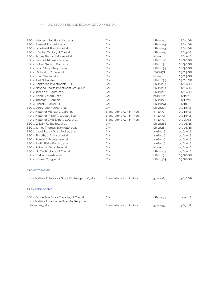| SEC v. Intertech Solutions, Inc., et al.                                                        | Civil                    | LR-24241 | 08/20/18 |
|-------------------------------------------------------------------------------------------------|--------------------------|----------|----------|
| SEC v. Barry M. Kornfeld, et al.                                                                | Civil                    | LR-24243 | 08/20/18 |
| SEC v. Lynette M. Robbins, et al.                                                               | Civil                    | LR-24243 | 08/20/18 |
| SEC v. 1 Global Capital, LLC, et al.                                                            | Civil                    | LR-24249 | 08/23/18 |
| SEC v. James Bernard Moore, et al.                                                              | Civil                    | None     | 08/27/18 |
| SEC v. Sandy J. Masselli Jr., et al.                                                            | Civil                    | LR-24248 | 08/28/18 |
| SEC v. Robert William Dorrance                                                                  | Civil                    | LR-24256 | 08/30/18 |
| SEC v. Scott Stacy Phelps, et al.                                                               | Civil                    | LR-24254 | 08/30/18 |
| SEC v. Michael E. Cone, et al.                                                                  | Civil                    | 2018-177 | 09/05/18 |
| SEC v. Brian Weber, et al.                                                                      | Civil                    | None     | 09/05/18 |
| SEC v. Joel N. Burstein                                                                         | Civil                    | LR-24259 | 09/06/18 |
| SEC v. Contrarian Investments, LLC                                                              | Civil                    | LR-24263 | 09/07/18 |
| SEC v. Nevada Sports Investment Group, LP                                                       | Civil                    | LR-24264 | 09/07/18 |
| SEC v. Joseph M. Laura, et al.                                                                  | Civil                    | LR-24266 | 09/07/18 |
| SEC v. Kevin B. Merrill, et al.                                                                 | Civil                    | 2018-201 | 09/13/18 |
| SEC v. Thomas J. Caufield                                                                       | Civil                    | LR-24270 | 09/17/18 |
| SEC v. Ernest J. Romer. III                                                                     | Civil                    | LR-24274 | 09/18/18 |
| SEC v. Leroy "Lee" Young, et al.                                                                | Civil                    | LR-24279 | 09/19/18 |
| In the Matter of Michael L. LaPenna                                                             | Stand-alone Admin, Proc. | 33-10553 | 09/19/18 |
| In the Matter of Phillip R. Grogan, Esq.                                                        | Stand-alone Admin, Proc. | 33-10554 | 09/19/18 |
| In the Matter of CMB Export, LLC, et al.                                                        | Stand-alone Admin, Proc. | 33-10559 | 09/21/18 |
| SEC v. William C. Skelley, et al.                                                               | Civil                    | LR-24288 | 09/26/18 |
| SEC v. James Thomas Bramlette, et al.                                                           | Civil                    | LR-24289 | 09/26/18 |
| SEC v. 1pool, Ltd., a/k/a 1Broker, et al.                                                       | Civil                    | 2018-218 | 09/27/18 |
| SEC v. Timothy J. Atkinson, et al.                                                              | Civil                    | 2018-216 | 09/27/18 |
| SEC v. Ronald C. Montano, et al.                                                                | Civil                    | 2018-216 | 09/27/18 |
| SEC v. Justin Blake Barrett, et al.                                                             | Civil                    | 2018-216 | 09/27/18 |
| SEC v. Robert A. Ferrante, et al.                                                               | Civil                    | None     | 09/27/18 |
| SEC v. NL Technology, LLC, et al.                                                               | Civil                    | LR-24293 | 09/27/18 |
| SEC v. Carlos I. Uresti, et al.                                                                 | Civil                    | LR-24296 | 09/28/18 |
| SEC v. Russell Craig, et al.                                                                    | Civil                    | LR-24303 | 09/28/18 |
| SRO/EXCHANGE                                                                                    |                          |          |          |
| In the Matter of New York Stock Exchange, LLC, et al.                                           | Stand-alone Admin, Proc. | 33-10463 | 03/06/18 |
| <b>TRANSFER AGENT</b>                                                                           |                          |          |          |
| SEC v. Quicksilver Stock Transfer, LLC, et al.<br>In the Matter of Manhattan Transfer Registrar | Civil                    | LR-24033 | 01/24/18 |
| Company, et al.                                                                                 | Stand-alone Admin, Proc. | 33-10497 | 05/17/18 |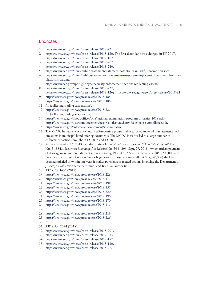### **Endnotes**

- 1 https://www.sec.gov/news/press-release/2018-22.
- 2 https://www.sec.gov/news/press-release/2018-130. The frst defendant was charged in FY 2017. https://www.sec.gov/news/press-release/2017-107.
- 3 https://www.sec.gov/news/press-release/2017-202.
- 4 https://www.sec.gov/news/press-release/2018-240.
- 5 https://www.sec.gov/news/public-statement/statement-potentially-unlawful-promotion-icos.
- 6 https://www.sec.gov/news/public-statement/enforcement-tm-statement-potentially-unlawful-onlineplatforms-trading.
- 7 https://www.sec.gov/spotlight/cybersecurity-enforcement-actions (collecting cases).
- 8 https://www.sec.gov/news/press-release/2017-227; https://www.sec.gov/news/press-release/2018-126; https://www.sec.gov/news/press-release/2018-61. 9 https://www.sec.gov/news/press-release/2018-185.
- 
- 10 https://www.sec.gov/news/press-release/2018-186.
- 11 *Id.* (collecting trading suspensions)*.*
- 12 https://www.sec.gov/news/press-release/2018-22.
- 13 *Id.* (collecting trading suspensions)*.*
- 14 https://www.sec.gov/about/offices/ocie/national-examination-program-priorities-2018.pdf; https://www.sec.gov/ocie/announcement/ocie-risk-alert-advisory-fee-expense-compliance.pdf.
- 15 https://www.sec.gov/enforce/announcement/scsd-initiative.
- 16 The MCDC Initiative was a voluntary self-reporting program that targeted material misstatements and omissions in municipal bond offering documents. The MCDC Initiative led to a large number of enforcement actions brought in FY 2015 and FY 2016.
- 17 Money ordered in FY 2018 includes *In the Matter of Petroleo Brasileiro S.A. Petrobras*, AP File No. 3-18843, Securities Exchange Act Release No. 34-84295 (Sept. 27, 2018), which orders payment of disgorgement and prejudgment interest totaling \$933,473,797 and a penalty of \$853,200,000 and provides that certain of respondent's obligations for those amounts (all but \$85,320,000) shall be deemed satisfed if, within one year, it makes payments in related actions involving the Department of Justice, a class action settlement fund, and Brazilian authorities.
- 18 137 S. Ct. 1635 (2017).
- 19 https://www.sec.gov/news/press-release/2018-226.
- 20 https://www.sec.gov/news/press-release/2018-41.
- 21 https://www.sec.gov/news/press-release/2018-198.
- 22 https://www.sec.gov/news/press-release/2018-151.
- 23 https://www.sec.gov/news/press-release/2018-220.
- 24 https://www.sec.gov/news/press-release/2017-196.
- 25 https://www.sec.gov/news/press-release/2018-170.
- 26 https://www.sec.gov/news/press-release/2018-41.
- 27 *Id.*
- 28 https://www.sec.gov/news/press-release/2018-219.
- 29 https://www.sec.gov/news/press-release/2018-226.
- 30 *Id.*
- 31 138 S. Ct. 2044 (2018).
- 32 https://www.sec.gov/news/press-release/2018-201.
- 33 https://www.sec.gov/news/press-release/2017-235.
- 34 https://www.sec.gov/news/press-release/2018-157.
- 35 https://www.sec.gov/news/press-release/2018-110.
- 36 https://www.sec.gov/news/press-release/2018-77.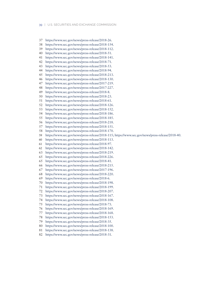- 37 https://www.sec.gov/news/press-release/2018-26.
- 38 https://www.sec.gov/news/press-release/2018-154.
- 39 https://www.sec.gov/news/press-release/2018-112.
- 40 https://www.sec.gov/news/press-release/2018-51.
- 41 https://www.sec.gov/news/press-release/2018-141.
- 42 https://www.sec.gov/news/press-release/2018-71.
- 43 https://www.sec.gov/news/press-release/2018-53.
- 44 https://www.sec.gov/news/press-release/2018-94.
- 45 https://www.sec.gov/news/press-release/2018-213.
- 46 https://www.sec.gov/news/press-release/2018-130.
- 47 https://www.sec.gov/news/press-release/2017-219.
- 48 https://www.sec.gov/news/press-release/2017-227.
- 49 https://www.sec.gov/news/press-release/2018-8.
- 50 https://www.sec.gov/news/press-release/2018-23.
- 51 https://www.sec.gov/news/press-release/2018-61.
- 52 https://www.sec.gov/news/press-release/2018-126.
- 53 https://www.sec.gov/news/press-release/2018-152.
- 54 https://www.sec.gov/news/press-release/2018-186.
- 55 https://www.sec.gov/news/press-release/2018-185.
- 56 https://www.sec.gov/news/press-release/2018-218.
- 57 https://www.sec.gov/news/press-release/2018-151.
- 58 https://www.sec.gov/news/press-release/2018-170.
- 59 https://www.sec.gov/news/press-release/2018-115; https://www.sec.gov/news/press-release/2018-40.
- 60 https://www.sec.gov/news/press-release/2018-113.
- 61 https://www.sec.gov/news/press-release/2018-97.
- 62 https://www.sec.gov/news/press-release/2018-142.
- 63 https://www.sec.gov/news/press-release/2018-219.
- 65 https://www.sec.gov/news/press-release/2018-226.
- 65 https://www.sec.gov/news/press-release/2018-41.
- 66 https://www.sec.gov/news/press-release/2018-215.
- 
- 67 https://www.sec.gov/news/press-release/2017-196.
- 68 https://www.sec.gov/news/press-release/2018-220.
- 69 https://www.sec.gov/news/press-release/2018-6.
- 70 https://www.sec.gov/news/press-release/2018-198.
- 71 https://www.sec.gov/news/press-release/2018-199.
- 72 https://www.sec.gov/news/press-release/2018-207.
- 73 https://www.sec.gov/news/press-release/2018-167.
- 74 https://www.sec.gov/news/press-release/2018-108.
- 75 https://www.sec.gov/news/press-release/2018-73.
- 76 https://www.sec.gov/news/press-release/2018-169.
- 77 https://www.sec.gov/news/press-release/2018-168.
- 78 https://www.sec.gov/news/press-release/2018-153.
- 79 https://www.sec.gov/news/press-release/2018-35.
- 80 https://www.sec.gov/news/press-release/2018-100.
- 81 https://www.sec.gov/news/press-release/2018-138.
- 82 https://www.sec.gov/news/press-release/2018-31.
-